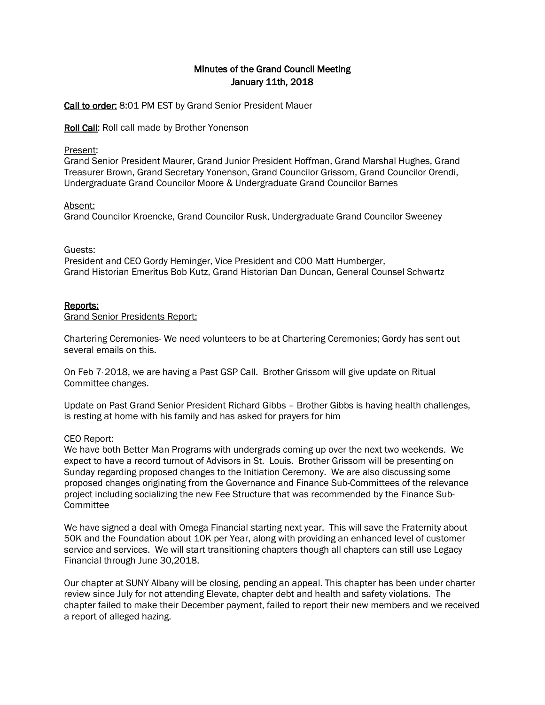# Minutes of the Grand Council Meeting January 11th, 2018

Call to order: 8:01 PM EST by Grand Senior President Mauer

Roll Call: Roll call made by Brother Yonenson

### Present:

Grand Senior President Maurer, Grand Junior President Hoffman, Grand Marshal Hughes, Grand Treasurer Brown, Grand Secretary Yonenson, Grand Councilor Grissom, Grand Councilor Orendi, Undergraduate Grand Councilor Moore & Undergraduate Grand Councilor Barnes

### Absent:

Grand Councilor Kroencke, Grand Councilor Rusk, Undergraduate Grand Councilor Sweeney

### Guests:

President and CEO Gordy Heminger, Vice President and COO Matt Humberger, Grand Historian Emeritus Bob Kutz, Grand Historian Dan Duncan, General Counsel Schwartz

### Reports:

Grand Senior Presidents Report:

Chartering Ceremonies- We need volunteers to be at Chartering Ceremonies; Gordy has sent out several emails on this.

On Feb 7, 2018, we are having a Past GSP Call. Brother Grissom will give update on Ritual Committee changes.

Update on Past Grand Senior President Richard Gibbs – Brother Gibbs is having health challenges, is resting at home with his family and has asked for prayers for him

### CEO Report:

We have both Better Man Programs with undergrads coming up over the next two weekends. We expect to have a record turnout of Advisors in St. Louis. Brother Grissom will be presenting on Sunday regarding proposed changes to the Initiation Ceremony. We are also discussing some proposed changes originating from the Governance and Finance Sub-Committees of the relevance project including socializing the new Fee Structure that was recommended by the Finance Sub-**Committee** 

We have signed a deal with Omega Financial starting next year. This will save the Fraternity about 50K and the Foundation about 10K per Year, along with providing an enhanced level of customer service and services. We will start transitioning chapters though all chapters can still use Legacy Financial through June 30,2018.

Our chapter at SUNY Albany will be closing, pending an appeal. This chapter has been under charter review since July for not attending Elevate, chapter debt and health and safety violations. The chapter failed to make their December payment, failed to report their new members and we received a report of alleged hazing.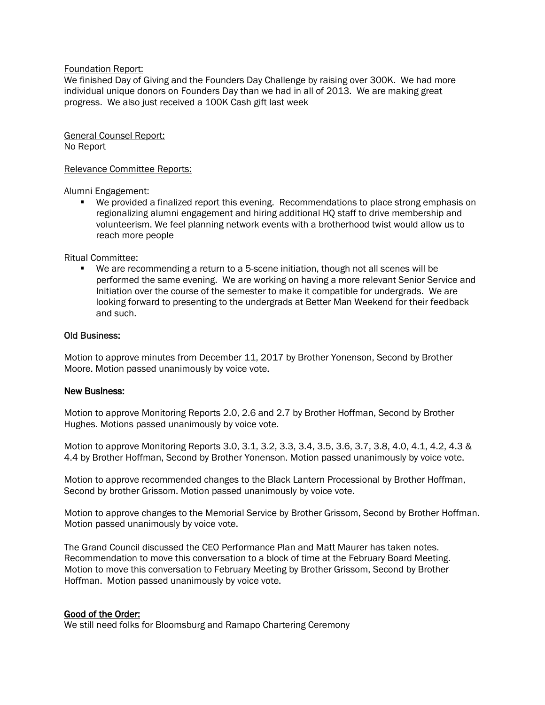#### Foundation Report:

We finished Day of Giving and the Founders Day Challenge by raising over 300K. We had more individual unique donors on Founders Day than we had in all of 2013. We are making great progress. We also just received a 100K Cash gift last week

General Counsel Report: No Report

#### Relevance Committee Reports:

Alumni Engagement:

 We provided a finalized report this evening. Recommendations to place strong emphasis on regionalizing alumni engagement and hiring additional HQ staff to drive membership and volunteerism. We feel planning network events with a brotherhood twist would allow us to reach more people

Ritual Committee:

 We are recommending a return to a 5-scene initiation, though not all scenes will be performed the same evening. We are working on having a more relevant Senior Service and Initiation over the course of the semester to make it compatible for undergrads. We are looking forward to presenting to the undergrads at Better Man Weekend for their feedback and such.

#### Old Business:

Motion to approve minutes from December 11, 2017 by Brother Yonenson, Second by Brother Moore. Motion passed unanimously by voice vote.

#### New Business:

Motion to approve Monitoring Reports 2.0, 2.6 and 2.7 by Brother Hoffman, Second by Brother Hughes. Motions passed unanimously by voice vote.

Motion to approve Monitoring Reports 3.0, 3.1, 3.2, 3.3, 3.4, 3.5, 3.6, 3.7, 3.8, 4.0, 4.1, 4.2, 4.3 & 4.4 by Brother Hoffman, Second by Brother Yonenson. Motion passed unanimously by voice vote.

Motion to approve recommended changes to the Black Lantern Processional by Brother Hoffman, Second by brother Grissom. Motion passed unanimously by voice vote.

Motion to approve changes to the Memorial Service by Brother Grissom, Second by Brother Hoffman. Motion passed unanimously by voice vote.

The Grand Council discussed the CEO Performance Plan and Matt Maurer has taken notes. Recommendation to move this conversation to a block of time at the February Board Meeting. Motion to move this conversation to February Meeting by Brother Grissom, Second by Brother Hoffman. Motion passed unanimously by voice vote.

#### Good of the Order:

We still need folks for Bloomsburg and Ramapo Chartering Ceremony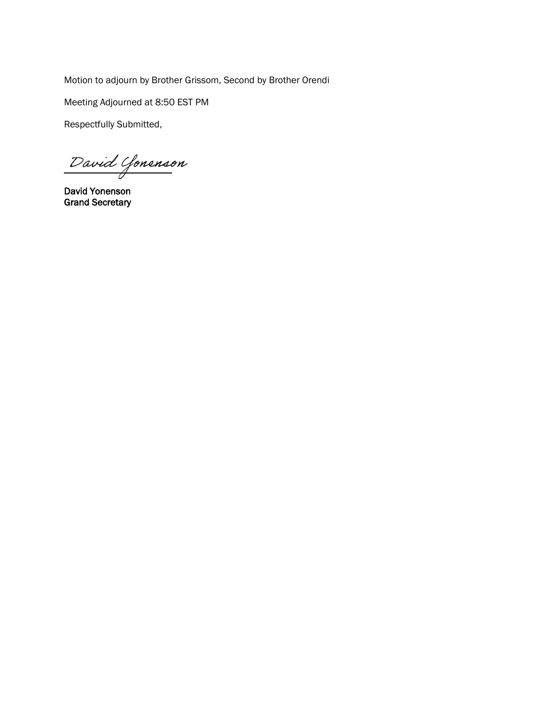Motion to adjourn by Brother Grissom, Second by Brother Orendi

Meeting Adjourned at 8:50 EST PM

Respectfully Submitted,

\_\_\_\_\_\_\_\_\_\_\_\_\_\_\_\_\_\_\_\_\_\_ David Yonenson

David Yonenson Grand Secretary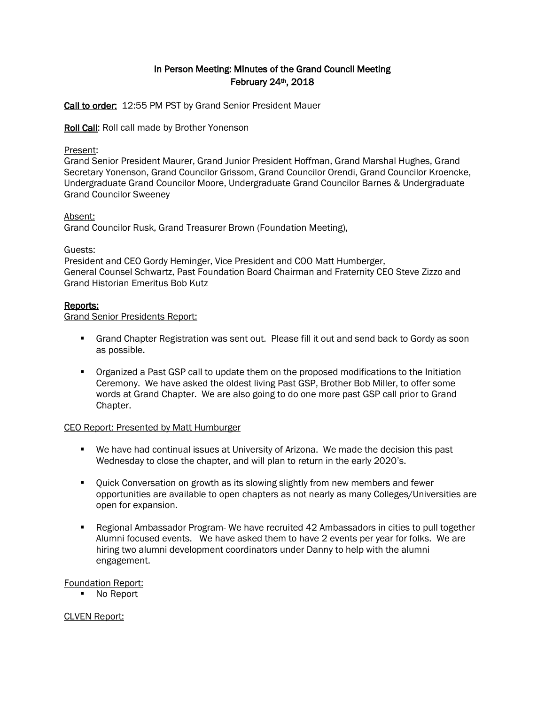# In Person Meeting: Minutes of the Grand Council Meeting February 24th, 2018

Call to order: 12:55 PM PST by Grand Senior President Mauer

Roll Call: Roll call made by Brother Yonenson

### Present:

Grand Senior President Maurer, Grand Junior President Hoffman, Grand Marshal Hughes, Grand Secretary Yonenson, Grand Councilor Grissom, Grand Councilor Orendi, Grand Councilor Kroencke, Undergraduate Grand Councilor Moore, Undergraduate Grand Councilor Barnes & Undergraduate Grand Councilor Sweeney

#### Absent:

Grand Councilor Rusk, Grand Treasurer Brown (Foundation Meeting),

### Guests:

President and CEO Gordy Heminger, Vice President and COO Matt Humberger, General Counsel Schwartz, Past Foundation Board Chairman and Fraternity CEO Steve Zizzo and Grand Historian Emeritus Bob Kutz

### Reports:

Grand Senior Presidents Report:

- Grand Chapter Registration was sent out. Please fill it out and send back to Gordy as soon as possible.
- **•** Organized a Past GSP call to update them on the proposed modifications to the Initiation Ceremony. We have asked the oldest living Past GSP, Brother Bob Miller, to offer some words at Grand Chapter. We are also going to do one more past GSP call prior to Grand Chapter.

### CEO Report: Presented by Matt Humburger

- We have had continual issues at University of Arizona. We made the decision this past Wednesday to close the chapter, and will plan to return in the early 2020's.
- Quick Conversation on growth as its slowing slightly from new members and fewer opportunities are available to open chapters as not nearly as many Colleges/Universities are open for expansion.
- Regional Ambassador Program- We have recruited 42 Ambassadors in cities to pull together Alumni focused events. We have asked them to have 2 events per year for folks. We are hiring two alumni development coordinators under Danny to help with the alumni engagement.

### Foundation Report:

■ No Report

### CLVEN Report: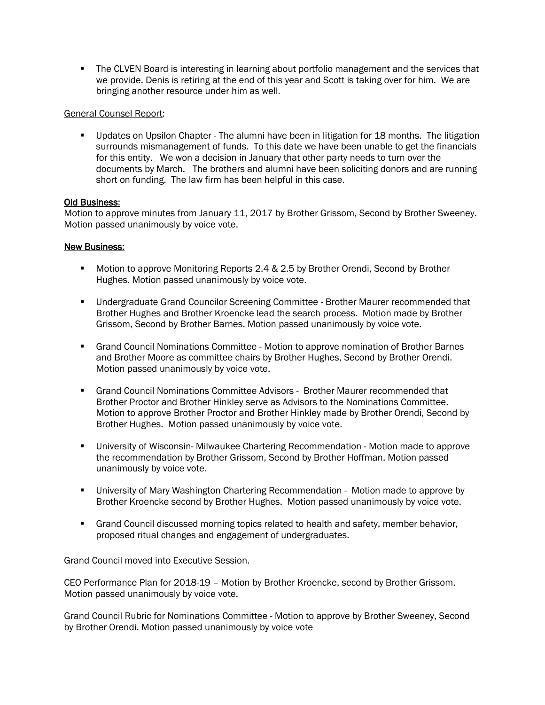**The CLVEN Board is interesting in learning about portfolio management and the services that** we provide. Denis is retiring at the end of this year and Scott is taking over for him. We are bringing another resource under him as well.

### General Counsel Report:

 Updates on Upsilon Chapter - The alumni have been in litigation for 18 months. The litigation surrounds mismanagement of funds. To this date we have been unable to get the financials for this entity. We won a decision in January that other party needs to turn over the documents by March. The brothers and alumni have been soliciting donors and are running short on funding. The law firm has been helpful in this case.

## Old Business:

Motion to approve minutes from January 11, 2017 by Brother Grissom, Second by Brother Sweeney. Motion passed unanimously by voice vote.

## New Business:

- **Motion to approve Monitoring Reports 2.4 & 2.5 by Brother Orendi, Second by Brother** Hughes. Motion passed unanimously by voice vote.
- Undergraduate Grand Councilor Screening Committee Brother Maurer recommended that Brother Hughes and Brother Kroencke lead the search process. Motion made by Brother Grissom, Second by Brother Barnes. Motion passed unanimously by voice vote.
- Grand Council Nominations Committee Motion to approve nomination of Brother Barnes and Brother Moore as committee chairs by Brother Hughes, Second by Brother Orendi. Motion passed unanimously by voice vote.
- Grand Council Nominations Committee Advisors Brother Maurer recommended that Brother Proctor and Brother Hinkley serve as Advisors to the Nominations Committee. Motion to approve Brother Proctor and Brother Hinkley made by Brother Orendi, Second by Brother Hughes. Motion passed unanimously by voice vote.
- University of Wisconsin- Milwaukee Chartering Recommendation Motion made to approve the recommendation by Brother Grissom, Second by Brother Hoffman. Motion passed unanimously by voice vote.
- University of Mary Washington Chartering Recommendation Motion made to approve by Brother Kroencke second by Brother Hughes. Motion passed unanimously by voice vote.
- Grand Council discussed morning topics related to health and safety, member behavior, proposed ritual changes and engagement of undergraduates.

Grand Council moved into Executive Session.

CEO Performance Plan for 2018-19 – Motion by Brother Kroencke, second by Brother Grissom. Motion passed unanimously by voice vote.

Grand Council Rubric for Nominations Committee - Motion to approve by Brother Sweeney, Second by Brother Orendi. Motion passed unanimously by voice vote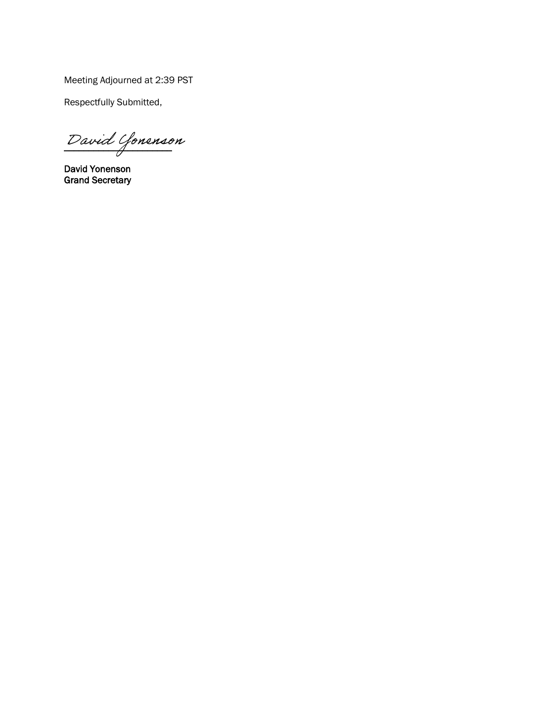Meeting Adjourned at 2:39 PST

Respectfully Submitted,

 $\overline{\phantom{a}}$ David Yonenson

David Yonenson Grand Secretary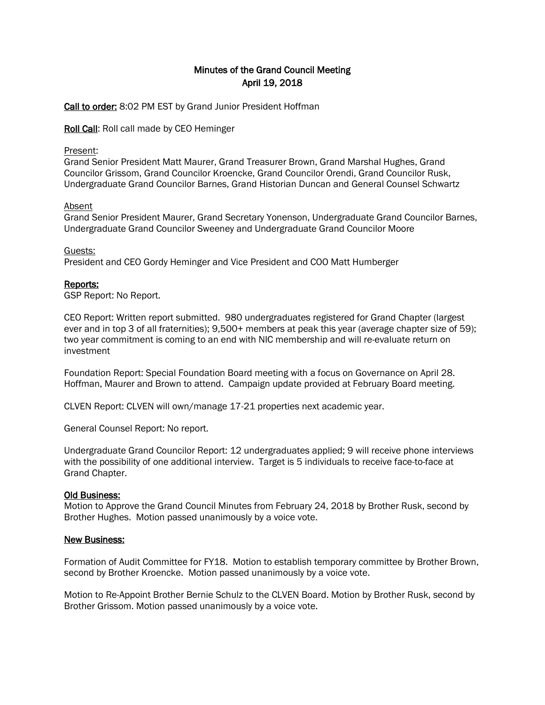# Minutes of the Grand Council Meeting April 19, 2018

Call to order: 8:02 PM EST by Grand Junior President Hoffman

Roll Call: Roll call made by CEO Heminger

#### Present:

Grand Senior President Matt Maurer, Grand Treasurer Brown, Grand Marshal Hughes, Grand Councilor Grissom, Grand Councilor Kroencke, Grand Councilor Orendi, Grand Councilor Rusk, Undergraduate Grand Councilor Barnes, Grand Historian Duncan and General Counsel Schwartz

#### Absent

Grand Senior President Maurer, Grand Secretary Yonenson, Undergraduate Grand Councilor Barnes, Undergraduate Grand Councilor Sweeney and Undergraduate Grand Councilor Moore

Guests:

President and CEO Gordy Heminger and Vice President and COO Matt Humberger

### Reports:

GSP Report: No Report.

CEO Report: Written report submitted. 980 undergraduates registered for Grand Chapter (largest ever and in top 3 of all fraternities); 9,500+ members at peak this year (average chapter size of 59); two year commitment is coming to an end with NIC membership and will re-evaluate return on investment

Foundation Report: Special Foundation Board meeting with a focus on Governance on April 28. Hoffman, Maurer and Brown to attend. Campaign update provided at February Board meeting.

CLVEN Report: CLVEN will own/manage 17-21 properties next academic year.

General Counsel Report: No report.

Undergraduate Grand Councilor Report: 12 undergraduates applied; 9 will receive phone interviews with the possibility of one additional interview. Target is 5 individuals to receive face-to-face at Grand Chapter.

#### Old Business:

Motion to Approve the Grand Council Minutes from February 24, 2018 by Brother Rusk, second by Brother Hughes. Motion passed unanimously by a voice vote.

#### New Business:

Formation of Audit Committee for FY18. Motion to establish temporary committee by Brother Brown, second by Brother Kroencke. Motion passed unanimously by a voice vote.

Motion to Re-Appoint Brother Bernie Schulz to the CLVEN Board. Motion by Brother Rusk, second by Brother Grissom. Motion passed unanimously by a voice vote.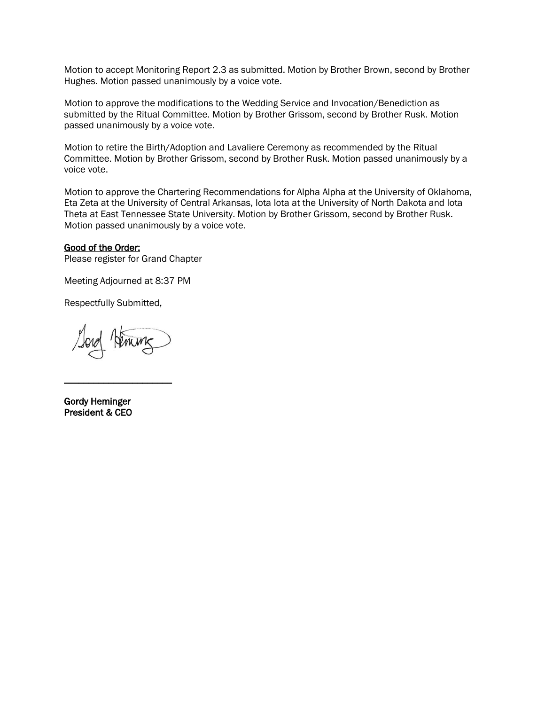Motion to accept Monitoring Report 2.3 as submitted. Motion by Brother Brown, second by Brother Hughes. Motion passed unanimously by a voice vote.

Motion to approve the modifications to the Wedding Service and Invocation/Benediction as submitted by the Ritual Committee. Motion by Brother Grissom, second by Brother Rusk. Motion passed unanimously by a voice vote.

Motion to retire the Birth/Adoption and Lavaliere Ceremony as recommended by the Ritual Committee. Motion by Brother Grissom, second by Brother Rusk. Motion passed unanimously by a voice vote.

Motion to approve the Chartering Recommendations for Alpha Alpha at the University of Oklahoma, Eta Zeta at the University of Central Arkansas, Iota Iota at the University of North Dakota and Iota Theta at East Tennessee State University. Motion by Brother Grissom, second by Brother Rusk. Motion passed unanimously by a voice vote.

#### Good of the Order:

Please register for Grand Chapter

Meeting Adjourned at 8:37 PM

Respectfully Submitted,

\_\_\_\_\_\_\_\_\_\_\_\_\_\_\_\_\_\_\_\_\_\_

Gordy Heminger President & CEO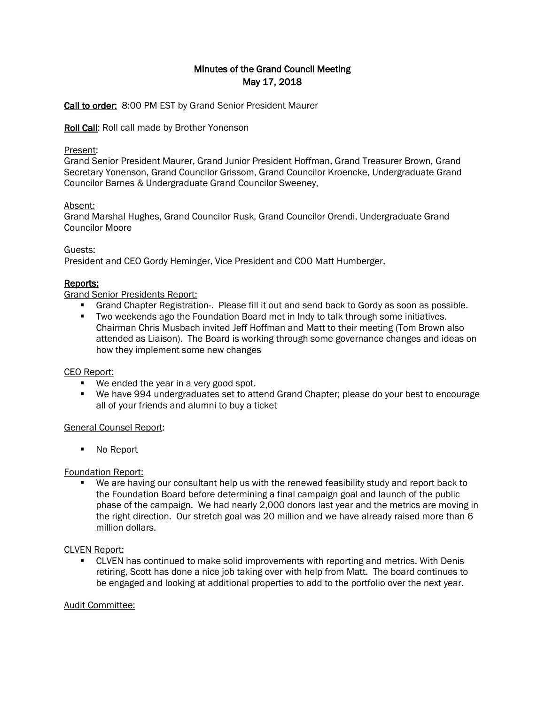# Minutes of the Grand Council Meeting May 17, 2018

Call to order: 8:00 PM EST by Grand Senior President Maurer

Roll Call: Roll call made by Brother Yonenson

### Present:

Grand Senior President Maurer, Grand Junior President Hoffman, Grand Treasurer Brown, Grand Secretary Yonenson, Grand Councilor Grissom, Grand Councilor Kroencke, Undergraduate Grand Councilor Barnes & Undergraduate Grand Councilor Sweeney,

## Absent:

Grand Marshal Hughes, Grand Councilor Rusk, Grand Councilor Orendi, Undergraduate Grand Councilor Moore

## Guests:

President and CEO Gordy Heminger, Vice President and COO Matt Humberger,

# Reports:

## Grand Senior Presidents Report:

- Grand Chapter Registration-. Please fill it out and send back to Gordy as soon as possible.
- Two weekends ago the Foundation Board met in Indy to talk through some initiatives. Chairman Chris Musbach invited Jeff Hoffman and Matt to their meeting (Tom Brown also attended as Liaison). The Board is working through some governance changes and ideas on how they implement some new changes

### CEO Report:

- We ended the year in a very good spot.
- We have 994 undergraduates set to attend Grand Chapter; please do your best to encourage all of your friends and alumni to buy a ticket

### General Counsel Report:

■ No Report

Foundation Report:

 We are having our consultant help us with the renewed feasibility study and report back to the Foundation Board before determining a final campaign goal and launch of the public phase of the campaign. We had nearly 2,000 donors last year and the metrics are moving in the right direction. Our stretch goal was 20 million and we have already raised more than 6 million dollars.

### CLVEN Report:

 CLVEN has continued to make solid improvements with reporting and metrics. With Denis retiring, Scott has done a nice job taking over with help from Matt. The board continues to be engaged and looking at additional properties to add to the portfolio over the next year.

### Audit Committee: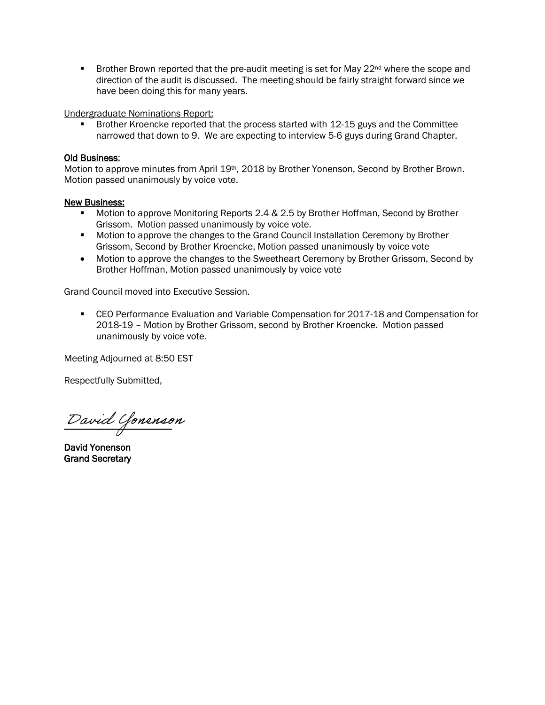**Brother Brown reported that the pre-audit meeting is set for May 22<sup>nd</sup> where the scope and** direction of the audit is discussed. The meeting should be fairly straight forward since we have been doing this for many years.

Undergraduate Nominations Report:

 Brother Kroencke reported that the process started with 12-15 guys and the Committee narrowed that down to 9. We are expecting to interview 5-6 guys during Grand Chapter.

#### Old Business:

Motion to approve minutes from April 19<sup>th</sup>, 2018 by Brother Yonenson, Second by Brother Brown. Motion passed unanimously by voice vote.

#### New Business:

- Motion to approve Monitoring Reports 2.4 & 2.5 by Brother Hoffman, Second by Brother Grissom. Motion passed unanimously by voice vote.
- **Motion to approve the changes to the Grand Council Installation Ceremony by Brother** Grissom, Second by Brother Kroencke, Motion passed unanimously by voice vote
- Motion to approve the changes to the Sweetheart Ceremony by Brother Grissom, Second by Brother Hoffman, Motion passed unanimously by voice vote

Grand Council moved into Executive Session.

 CEO Performance Evaluation and Variable Compensation for 2017-18 and Compensation for 2018-19 – Motion by Brother Grissom, second by Brother Kroencke. Motion passed unanimously by voice vote.

Meeting Adjourned at 8:50 EST

Respectfully Submitted,

\_\_\_\_\_\_\_\_\_\_\_\_\_\_\_\_\_\_\_\_\_\_ David Yonenson

David Yonenson Grand Secretary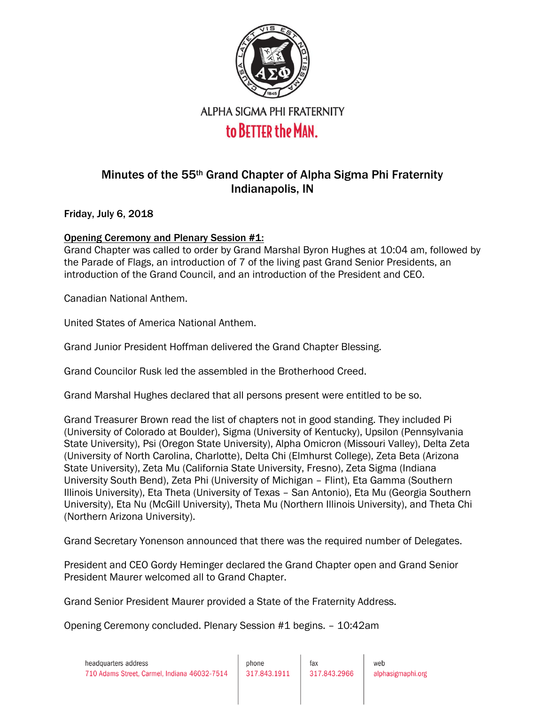

# Minutes of the 55th Grand Chapter of Alpha Sigma Phi Fraternity Indianapolis, IN

Friday, July 6, 2018

# Opening Ceremony and Plenary Session #1:

Grand Chapter was called to order by Grand Marshal Byron Hughes at 10:04 am, followed by the Parade of Flags, an introduction of 7 of the living past Grand Senior Presidents, an introduction of the Grand Council, and an introduction of the President and CEO.

Canadian National Anthem.

United States of America National Anthem.

Grand Junior President Hoffman delivered the Grand Chapter Blessing.

Grand Councilor Rusk led the assembled in the Brotherhood Creed.

Grand Marshal Hughes declared that all persons present were entitled to be so.

Grand Treasurer Brown read the list of chapters not in good standing. They included Pi (University of Colorado at Boulder), Sigma (University of Kentucky), Upsilon (Pennsylvania State University), Psi (Oregon State University), Alpha Omicron (Missouri Valley), Delta Zeta (University of North Carolina, Charlotte), Delta Chi (Elmhurst College), Zeta Beta (Arizona State University), Zeta Mu (California State University, Fresno), Zeta Sigma (Indiana University South Bend), Zeta Phi (University of Michigan – Flint), Eta Gamma (Southern Illinois University), Eta Theta (University of Texas – San Antonio), Eta Mu (Georgia Southern University), Eta Nu (McGill University), Theta Mu (Northern Illinois University), and Theta Chi (Northern Arizona University).

Grand Secretary Yonenson announced that there was the required number of Delegates.

President and CEO Gordy Heminger declared the Grand Chapter open and Grand Senior President Maurer welcomed all to Grand Chapter.

Grand Senior President Maurer provided a State of the Fraternity Address.

Opening Ceremony concluded. Plenary Session #1 begins. – 10:42am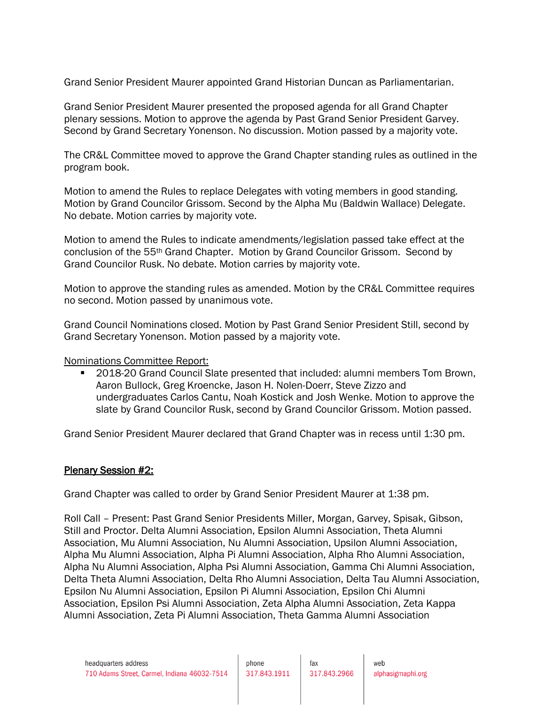Grand Senior President Maurer appointed Grand Historian Duncan as Parliamentarian.

Grand Senior President Maurer presented the proposed agenda for all Grand Chapter plenary sessions. Motion to approve the agenda by Past Grand Senior President Garvey. Second by Grand Secretary Yonenson. No discussion. Motion passed by a majority vote.

The CR&L Committee moved to approve the Grand Chapter standing rules as outlined in the program book.

Motion to amend the Rules to replace Delegates with voting members in good standing. Motion by Grand Councilor Grissom. Second by the Alpha Mu (Baldwin Wallace) Delegate. No debate. Motion carries by majority vote.

Motion to amend the Rules to indicate amendments/legislation passed take effect at the conclusion of the 55th Grand Chapter. Motion by Grand Councilor Grissom. Second by Grand Councilor Rusk. No debate. Motion carries by majority vote.

Motion to approve the standing rules as amended. Motion by the CR&L Committee requires no second. Motion passed by unanimous vote.

Grand Council Nominations closed. Motion by Past Grand Senior President Still, second by Grand Secretary Yonenson. Motion passed by a majority vote.

Nominations Committee Report:

■ 2018-20 Grand Council Slate presented that included: alumni members Tom Brown, Aaron Bullock, Greg Kroencke, Jason H. Nolen-Doerr, Steve Zizzo and undergraduates Carlos Cantu, Noah Kostick and Josh Wenke. Motion to approve the slate by Grand Councilor Rusk, second by Grand Councilor Grissom. Motion passed.

Grand Senior President Maurer declared that Grand Chapter was in recess until 1:30 pm.

# Plenary Session #2:

Grand Chapter was called to order by Grand Senior President Maurer at 1:38 pm.

Roll Call – Present: Past Grand Senior Presidents Miller, Morgan, Garvey, Spisak, Gibson, Still and Proctor. Delta Alumni Association, Epsilon Alumni Association, Theta Alumni Association, Mu Alumni Association, Nu Alumni Association, Upsilon Alumni Association, Alpha Mu Alumni Association, Alpha Pi Alumni Association, Alpha Rho Alumni Association, Alpha Nu Alumni Association, Alpha Psi Alumni Association, Gamma Chi Alumni Association, Delta Theta Alumni Association, Delta Rho Alumni Association, Delta Tau Alumni Association, Epsilon Nu Alumni Association, Epsilon Pi Alumni Association, Epsilon Chi Alumni Association, Epsilon Psi Alumni Association, Zeta Alpha Alumni Association, Zeta Kappa Alumni Association, Zeta Pi Alumni Association, Theta Gamma Alumni Association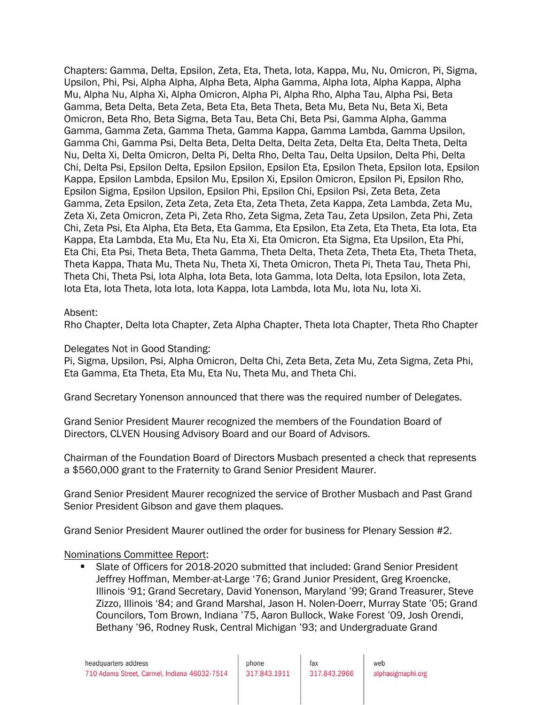Chapters: Gamma, Delta, Epsilon, Zeta, Eta, Theta, Iota, Kappa, Mu, Nu, Omicron, Pi, Sigma, Upsilon, Phi, Psi, Alpha Alpha, Alpha Beta, Alpha Gamma, Alpha Iota, Alpha Kappa, Alpha Mu, Alpha Nu, Alpha Xi, Alpha Omicron, Alpha Pi, Alpha Rho, Alpha Tau, Alpha Psi, Beta Gamma, Beta Delta, Beta Zeta, Beta Eta, Beta Theta, Beta Mu, Beta Nu, Beta Xi, Beta Omicron, Beta Rho, Beta Sigma, Beta Tau, Beta Chi, Beta Psi, Gamma Alpha, Gamma Gamma, Gamma Zeta, Gamma Theta, Gamma Kappa, Gamma Lambda, Gamma Upsilon, Gamma Chi, Gamma Psi, Delta Beta, Delta Delta, Delta Zeta, Delta Eta, Delta Theta, Delta Nu, Delta Xi, Delta Omicron, Delta Pi, Delta Rho, Delta Tau, Delta Upsilon, Delta Phi, Delta Chi, Delta Psi, Epsilon Delta, Epsilon Epsilon, Epsilon Eta, Epsilon Theta, Epsilon Iota, Epsilon Kappa, Epsilon Lambda, Epsilon Mu, Epsilon Xi, Epsilon Omicron, Epsilon Pi, Epsilon Rho, Epsilon Sigma, Epsilon Upsilon, Epsilon Phi, Epsilon Chi, Epsilon Psi, Zeta Beta, Zeta Gamma, Zeta Epsilon, Zeta Zeta, Zeta Eta, Zeta Theta, Zeta Kappa, Zeta Lambda, Zeta Mu, Zeta Xi, Zeta Omicron, Zeta Pi, Zeta Rho, Zeta Sigma, Zeta Tau, Zeta Upsilon, Zeta Phi, Zeta Chi, Zeta Psi, Eta Alpha, Eta Beta, Eta Gamma, Eta Epsilon, Eta Zeta, Eta Theta, Eta Iota, Eta Kappa, Eta Lambda, Eta Mu, Eta Nu, Eta Xi, Eta Omicron, Eta Sigma, Eta Upsilon, Eta Phi, Eta Chi, Eta Psi, Theta Beta, Theta Gamma, Theta Delta, Theta Zeta, Theta Eta, Theta Theta, Theta Kappa, Thata Mu, Theta Nu, Theta Xi, Theta Omicron, Theta Pi, Theta Tau, Theta Phi, Theta Chi, Theta Psi*,* Iota Alpha, Iota Beta, Iota Gamma, Iota Delta, Iota Epsilon, Iota Zeta, Iota Eta, Iota Theta, Iota Iota, Iota Kappa, Iota Lambda, Iota Mu, Iota Nu, Iota Xi.

### Absent:

Rho Chapter, Delta Iota Chapter, Zeta Alpha Chapter, Theta Iota Chapter, Theta Rho Chapter

### Delegates Not in Good Standing:

Pi, Sigma, Upsilon, Psi, Alpha Omicron, Delta Chi, Zeta Beta, Zeta Mu, Zeta Sigma, Zeta Phi, Eta Gamma, Eta Theta, Eta Mu, Eta Nu, Theta Mu, and Theta Chi.

Grand Secretary Yonenson announced that there was the required number of Delegates.

Grand Senior President Maurer recognized the members of the Foundation Board of Directors, CLVEN Housing Advisory Board and our Board of Advisors.

Chairman of the Foundation Board of Directors Musbach presented a check that represents a \$560,000 grant to the Fraternity to Grand Senior President Maurer.

Grand Senior President Maurer recognized the service of Brother Musbach and Past Grand Senior President Gibson and gave them plaques.

Grand Senior President Maurer outlined the order for business for Plenary Session #2.

### Nominations Committee Report:

Slate of Officers for 2018-2020 submitted that included: Grand Senior President Jeffrey Hoffman, Member-at-Large '76; Grand Junior President, Greg Kroencke, Illinois '91; Grand Secretary, David Yonenson, Maryland '99; Grand Treasurer, Steve Zizzo, Illinois '84; and Grand Marshal, Jason H. Nolen-Doerr, Murray State '05; Grand Councilors, Tom Brown, Indiana '75, Aaron Bullock, Wake Forest '09, Josh Orendi, Bethany '96, Rodney Rusk, Central Michigan '93; and Undergraduate Grand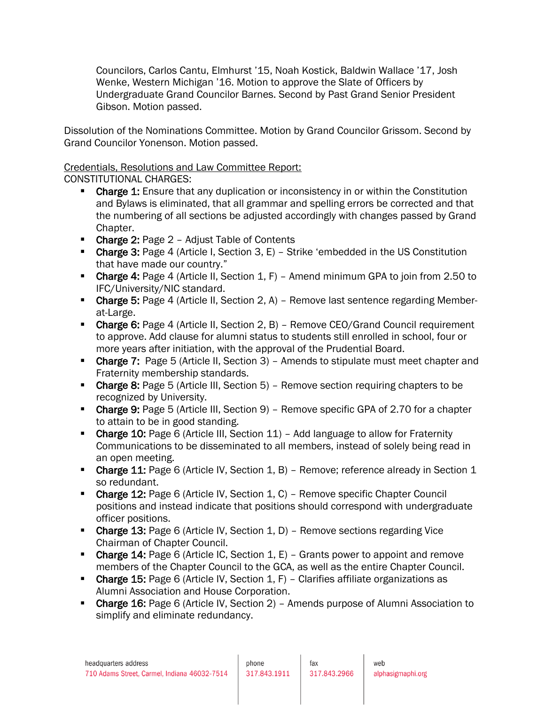Councilors, Carlos Cantu, Elmhurst '15, Noah Kostick, Baldwin Wallace '17, Josh Wenke, Western Michigan '16. Motion to approve the Slate of Officers by Undergraduate Grand Councilor Barnes. Second by Past Grand Senior President Gibson. Motion passed.

Dissolution of the Nominations Committee. Motion by Grand Councilor Grissom. Second by Grand Councilor Yonenson. Motion passed.

# Credentials, Resolutions and Law Committee Report:

CONSTITUTIONAL CHARGES:

- **Charge 1:** Ensure that any duplication or inconsistency in or within the Constitution and Bylaws is eliminated, that all grammar and spelling errors be corrected and that the numbering of all sections be adjusted accordingly with changes passed by Grand Chapter.
- Charge 2: Page 2 Adjust Table of Contents
- **Charge 3:** Page 4 (Article I, Section 3,  $E$ ) Strike 'embedded in the US Constitution that have made our country."
- **Charge 4:** Page 4 (Article II, Section 1, F) Amend minimum GPA to join from 2.50 to IFC/University/NIC standard.
- Charge 5: Page 4 (Article II, Section 2, A) Remove last sentence regarding Memberat-Large.
- Charge 6: Page 4 (Article II, Section 2, B) Remove CEO/Grand Council requirement to approve. Add clause for alumni status to students still enrolled in school, four or more years after initiation, with the approval of the Prudential Board.
- Charge 7: Page 5 (Article II, Section 3) Amends to stipulate must meet chapter and Fraternity membership standards.
- **Charge 8:** Page 5 (Article III, Section 5) Remove section requiring chapters to be recognized by University.
- Charge 9: Page 5 (Article III, Section 9) Remove specific GPA of 2.70 for a chapter to attain to be in good standing.
- **Charge 10:** Page 6 (Article III, Section  $11$ ) Add language to allow for Fraternity Communications to be disseminated to all members, instead of solely being read in an open meeting.
- Charge 11: Page 6 (Article IV, Section 1, B) Remove; reference already in Section 1 so redundant.
- Charge 12: Page 6 (Article IV, Section 1, C) Remove specific Chapter Council positions and instead indicate that positions should correspond with undergraduate officer positions.
- **Charge 13:** Page 6 (Article IV, Section 1, D) Remove sections regarding Vice Chairman of Chapter Council.
- **Charge 14:** Page 6 (Article IC, Section 1,  $E$ ) Grants power to appoint and remove members of the Chapter Council to the GCA, as well as the entire Chapter Council.
- Charge 15: Page 6 (Article IV, Section 1, F) Clarifies affiliate organizations as Alumni Association and House Corporation.
- Charge 16: Page 6 (Article IV, Section 2) Amends purpose of Alumni Association to simplify and eliminate redundancy.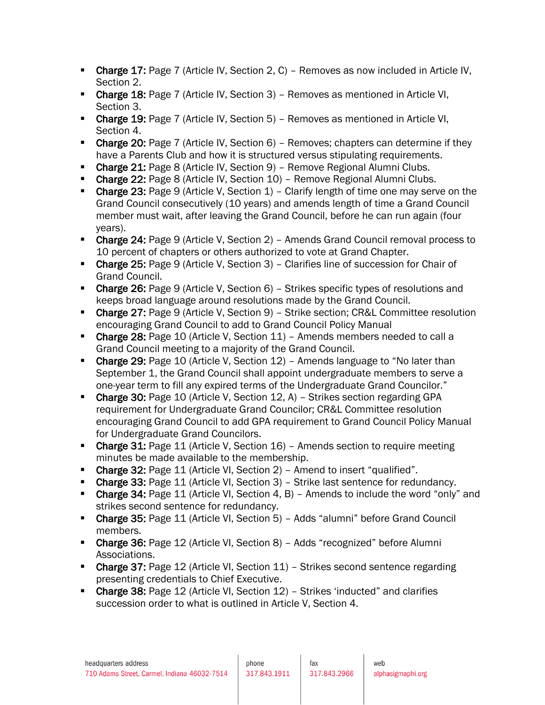- **Charge 17:** Page 7 (Article IV, Section 2, C) Removes as now included in Article IV, Section 2.
- **Charge 18:** Page 7 (Article IV, Section 3) Removes as mentioned in Article VI, Section 3.
- **Charge 19: Page 7 (Article IV, Section 5) Removes as mentioned in Article VI,** Section 4.
- **Charge 20:** Page 7 (Article IV, Section  $6$ ) Removes; chapters can determine if they have a Parents Club and how it is structured versus stipulating requirements.
- Charge 21: Page 8 (Article IV, Section 9) Remove Regional Alumni Clubs.
- Charge 22: Page 8 (Article IV, Section 10) Remove Regional Alumni Clubs.
- Charge 23: Page 9 (Article V, Section 1) Clarify length of time one may serve on the Grand Council consecutively (10 years) and amends length of time a Grand Council member must wait, after leaving the Grand Council, before he can run again (four years).
- Charge 24: Page 9 (Article V, Section 2) Amends Grand Council removal process to 10 percent of chapters or others authorized to vote at Grand Chapter.
- Charge 25: Page 9 (Article V, Section 3) Clarifies line of succession for Chair of Grand Council.
- Charge 26: Page 9 (Article V, Section 6) Strikes specific types of resolutions and keeps broad language around resolutions made by the Grand Council.
- Charge 27: Page 9 (Article V, Section 9) Strike section; CR&L Committee resolution encouraging Grand Council to add to Grand Council Policy Manual
- **Charge 28:** Page 10 (Article V, Section 11) Amends members needed to call a Grand Council meeting to a majority of the Grand Council.
- **Charge 29:** Page 10 (Article V, Section 12) Amends language to "No later than September 1, the Grand Council shall appoint undergraduate members to serve a one-year term to fill any expired terms of the Undergraduate Grand Councilor."
- Charge 30: Page 10 (Article V, Section 12, A) Strikes section regarding GPA requirement for Undergraduate Grand Councilor; CR&L Committee resolution encouraging Grand Council to add GPA requirement to Grand Council Policy Manual for Undergraduate Grand Councilors.
- Charge 31: Page 11 (Article V, Section 16) Amends section to require meeting minutes be made available to the membership.
- Charge 32: Page 11 (Article VI, Section 2) Amend to insert "qualified".
- Charge 33: Page 11 (Article VI, Section 3) Strike last sentence for redundancy.
- Charge 34: Page 11 (Article VI, Section 4, B) Amends to include the word "only" and strikes second sentence for redundancy.
- Charge 35: Page 11 (Article VI, Section 5) Adds "alumni" before Grand Council members.
- **Charge 36:** Page 12 (Article VI, Section 8) Adds "recognized" before Alumni Associations.
- Charge 37: Page 12 (Article VI, Section 11) Strikes second sentence regarding presenting credentials to Chief Executive.
- Charge 38: Page 12 (Article VI, Section 12) Strikes 'inducted" and clarifies succession order to what is outlined in Article V, Section 4.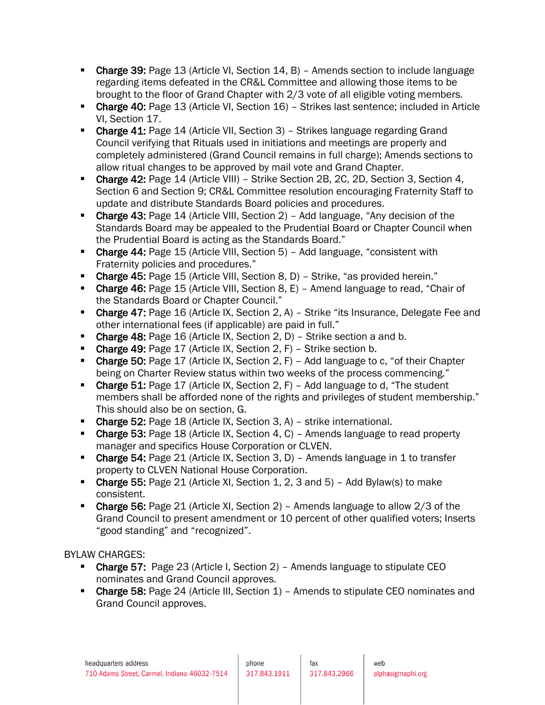- Charge 39: Page 13 (Article VI, Section 14, B) Amends section to include language regarding items defeated in the CR&L Committee and allowing those items to be brought to the floor of Grand Chapter with 2/3 vote of all eligible voting members.
- Charge 40: Page 13 (Article VI, Section 16) Strikes last sentence; included in Article VI, Section 17.
- **Charge 41:** Page 14 (Article VII, Section 3) Strikes language regarding Grand Council verifying that Rituals used in initiations and meetings are properly and completely administered (Grand Council remains in full charge); Amends sections to allow ritual changes to be approved by mail vote and Grand Chapter.
- Charge 42: Page 14 (Article VIII) Strike Section 2B, 2C, 2D, Section 3, Section 4, Section 6 and Section 9; CR&L Committee resolution encouraging Fraternity Staff to update and distribute Standards Board policies and procedures.
- Charge 43: Page 14 (Article VIII, Section 2) Add language, "Any decision of the Standards Board may be appealed to the Prudential Board or Chapter Council when the Prudential Board is acting as the Standards Board."
- **Charge 44:** Page 15 (Article VIII, Section 5) Add language, "consistent with Fraternity policies and procedures."
- Charge 45: Page 15 (Article VIII, Section 8, D) Strike, "as provided herein."
- Charge 46: Page 15 (Article VIII, Section 8, E) Amend language to read, "Chair of the Standards Board or Chapter Council."
- Charge 47: Page 16 (Article IX, Section 2, A) Strike "its Insurance, Delegate Fee and other international fees (if applicable) are paid in full."
- Charge 48: Page 16 (Article IX, Section 2, D) Strike section a and b.
- **Charge 49: Page 17 (Article IX, Section 2, F) Strike section b.**
- Charge 50: Page 17 (Article IX, Section 2, F) Add language to c, "of their Chapter being on Charter Review status within two weeks of the process commencing."
- Charge 51: Page 17 (Article IX, Section 2, F) Add language to d, "The student members shall be afforded none of the rights and privileges of student membership." This should also be on section, G.
- Charge 52: Page 18 (Article IX, Section 3, A) strike international.
- Charge 53: Page 18 (Article IX, Section 4, C) Amends language to read property manager and specifics House Corporation or CLVEN.
- Charge 54: Page 21 (Article IX, Section 3, D) Amends language in 1 to transfer property to CLVEN National House Corporation.
- Charge 55: Page 21 (Article XI, Section 1, 2, 3 and 5) Add Bylaw(s) to make consistent.
- Charge 56: Page 21 (Article XI, Section 2) Amends language to allow 2/3 of the Grand Council to present amendment or 10 percent of other qualified voters; Inserts "good standing" and "recognized".

BYLAW CHARGES:

- Charge 57: Page 23 (Article I, Section 2) Amends language to stipulate CEO nominates and Grand Council approves.
- Charge 58: Page 24 (Article III, Section 1) Amends to stipulate CEO nominates and Grand Council approves.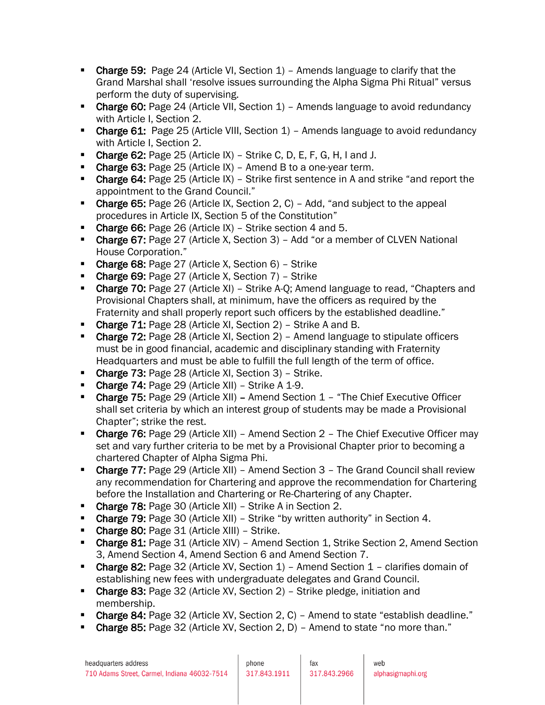- Charge 59: Page 24 (Article VI, Section 1) Amends language to clarify that the Grand Marshal shall 'resolve issues surrounding the Alpha Sigma Phi Ritual" versus perform the duty of supervising.
- Charge 60: Page 24 (Article VII, Section 1) Amends language to avoid redundancy with Article I, Section 2.
- **Charge 61:** Page 25 (Article VIII, Section  $1$ ) Amends language to avoid redundancy with Article I, Section 2.
- **Charge 62: Page 25 (Article IX) Strike C, D, E, F, G, H, I and J.**
- Charge 63: Page 25 (Article IX) Amend B to a one-year term.
- **Charge 64:** Page 25 (Article IX) Strike first sentence in A and strike "and report the appointment to the Grand Council."
- **Charge 65:** Page 26 (Article IX, Section 2, C) Add, "and subject to the appeal procedures in Article IX, Section 5 of the Constitution"
- Charge 66: Page 26 (Article IX) Strike section 4 and 5.
- Charge 67: Page 27 (Article X, Section 3) Add "or a member of CLVEN National House Corporation."
- Charge 68: Page 27 (Article X, Section 6) Strike
- Charge 69: Page 27 (Article X, Section 7) Strike
- **Charge 70:** Page 27 (Article XI) Strike A-Q; Amend language to read, "Chapters and Provisional Chapters shall, at minimum, have the officers as required by the Fraternity and shall properly report such officers by the established deadline."
- **Charge 71:** Page 28 (Article XI, Section 2) Strike A and B.
- Charge 72: Page 28 (Article XI, Section 2) Amend language to stipulate officers must be in good financial, academic and disciplinary standing with Fraternity Headquarters and must be able to fulfill the full length of the term of office.
- Charge 73: Page 28 (Article XI, Section 3) Strike.
- Charge 74: Page 29 (Article XII) Strike A 1-9.
- Charge 75: Page 29 (Article XII) Amend Section 1 "The Chief Executive Officer shall set criteria by which an interest group of students may be made a Provisional Chapter"; strike the rest.
- Charge 76: Page 29 (Article XII) Amend Section 2 The Chief Executive Officer may set and vary further criteria to be met by a Provisional Chapter prior to becoming a chartered Chapter of Alpha Sigma Phi.
- Charge 77: Page 29 (Article XII) Amend Section 3 The Grand Council shall review any recommendation for Chartering and approve the recommendation for Chartering before the Installation and Chartering or Re-Chartering of any Chapter.
- **Charge 78: Page 30 (Article XII) Strike A in Section 2.**
- **Charge 79: Page 30 (Article XII) Strike "by written authority" in Section 4.**
- **Charge 80: Page 31 (Article XIII) Strike.**
- Charge 81: Page 31 (Article XIV) Amend Section 1, Strike Section 2, Amend Section 3, Amend Section 4, Amend Section 6 and Amend Section 7.
- Charge 82: Page 32 (Article XV, Section 1) Amend Section 1 clarifies domain of establishing new fees with undergraduate delegates and Grand Council.
- Charge 83: Page 32 (Article XV, Section 2) Strike pledge, initiation and membership.
- Charge 84: Page 32 (Article XV, Section 2, C) Amend to state "establish deadline."
- **Charge 85: Page 32 (Article XV, Section 2, D) Amend to state "no more than."**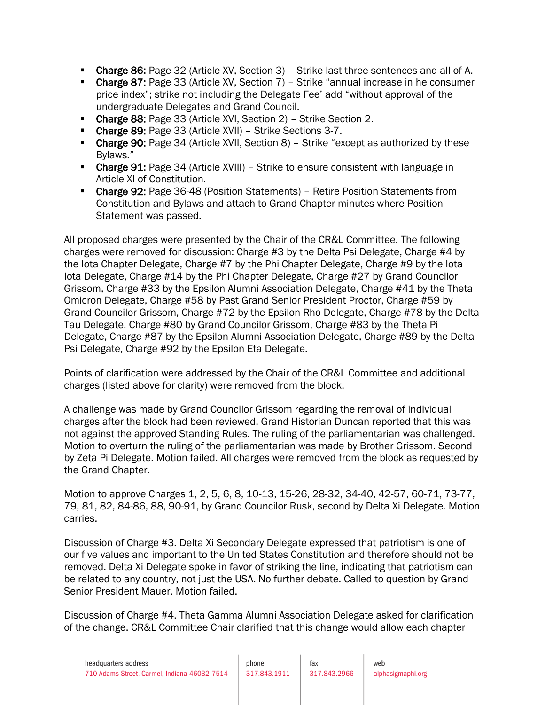- **Charge 86: Page 32 (Article XV, Section 3) Strike last three sentences and all of A.**
- Charge 87: Page 33 (Article XV, Section 7) Strike "annual increase in he consumer price index"; strike not including the Delegate Fee' add "without approval of the undergraduate Delegates and Grand Council.
- **Charge 88: Page 33 (Article XVI, Section 2) Strike Section 2.**
- **Charge 89: Page 33 (Article XVII) Strike Sections 3-7.**
- Charge 90: Page 34 (Article XVII, Section 8) Strike "except as authorized by these Bylaws."
- **Charge 91:** Page 34 (Article XVIII) Strike to ensure consistent with language in Article XI of Constitution.
- Charge 92: Page 36-48 (Position Statements) Retire Position Statements from Constitution and Bylaws and attach to Grand Chapter minutes where Position Statement was passed.

All proposed charges were presented by the Chair of the CR&L Committee. The following charges were removed for discussion: Charge #3 by the Delta Psi Delegate, Charge #4 by the Iota Chapter Delegate, Charge #7 by the Phi Chapter Delegate, Charge #9 by the Iota Iota Delegate, Charge #14 by the Phi Chapter Delegate, Charge #27 by Grand Councilor Grissom, Charge #33 by the Epsilon Alumni Association Delegate, Charge #41 by the Theta Omicron Delegate, Charge #58 by Past Grand Senior President Proctor, Charge #59 by Grand Councilor Grissom, Charge #72 by the Epsilon Rho Delegate, Charge #78 by the Delta Tau Delegate, Charge #80 by Grand Councilor Grissom, Charge #83 by the Theta Pi Delegate, Charge #87 by the Epsilon Alumni Association Delegate, Charge #89 by the Delta Psi Delegate, Charge #92 by the Epsilon Eta Delegate.

Points of clarification were addressed by the Chair of the CR&L Committee and additional charges (listed above for clarity) were removed from the block.

A challenge was made by Grand Councilor Grissom regarding the removal of individual charges after the block had been reviewed. Grand Historian Duncan reported that this was not against the approved Standing Rules. The ruling of the parliamentarian was challenged. Motion to overturn the ruling of the parliamentarian was made by Brother Grissom. Second by Zeta Pi Delegate. Motion failed. All charges were removed from the block as requested by the Grand Chapter.

Motion to approve Charges 1, 2, 5, 6, 8, 10-13, 15-26, 28-32, 34-40, 42-57, 60-71, 73-77, 79, 81, 82, 84-86, 88, 90-91, by Grand Councilor Rusk, second by Delta Xi Delegate. Motion carries.

Discussion of Charge #3. Delta Xi Secondary Delegate expressed that patriotism is one of our five values and important to the United States Constitution and therefore should not be removed. Delta Xi Delegate spoke in favor of striking the line, indicating that patriotism can be related to any country, not just the USA. No further debate. Called to question by Grand Senior President Mauer. Motion failed.

Discussion of Charge #4. Theta Gamma Alumni Association Delegate asked for clarification of the change. CR&L Committee Chair clarified that this change would allow each chapter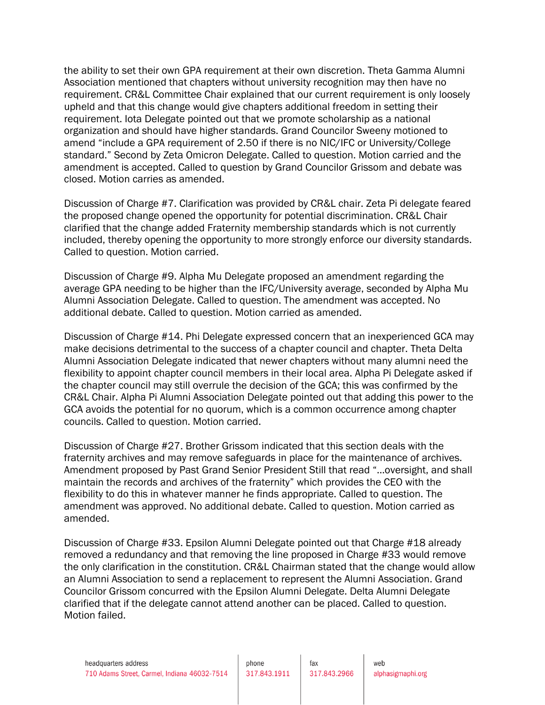the ability to set their own GPA requirement at their own discretion. Theta Gamma Alumni Association mentioned that chapters without university recognition may then have no requirement. CR&L Committee Chair explained that our current requirement is only loosely upheld and that this change would give chapters additional freedom in setting their requirement. Iota Delegate pointed out that we promote scholarship as a national organization and should have higher standards. Grand Councilor Sweeny motioned to amend "include a GPA requirement of 2.50 if there is no NIC/IFC or University/College standard." Second by Zeta Omicron Delegate. Called to question. Motion carried and the amendment is accepted. Called to question by Grand Councilor Grissom and debate was closed. Motion carries as amended.

Discussion of Charge #7. Clarification was provided by CR&L chair. Zeta Pi delegate feared the proposed change opened the opportunity for potential discrimination. CR&L Chair clarified that the change added Fraternity membership standards which is not currently included, thereby opening the opportunity to more strongly enforce our diversity standards. Called to question. Motion carried.

Discussion of Charge #9. Alpha Mu Delegate proposed an amendment regarding the average GPA needing to be higher than the IFC/University average, seconded by Alpha Mu Alumni Association Delegate. Called to question. The amendment was accepted. No additional debate. Called to question. Motion carried as amended.

Discussion of Charge #14. Phi Delegate expressed concern that an inexperienced GCA may make decisions detrimental to the success of a chapter council and chapter. Theta Delta Alumni Association Delegate indicated that newer chapters without many alumni need the flexibility to appoint chapter council members in their local area. Alpha Pi Delegate asked if the chapter council may still overrule the decision of the GCA; this was confirmed by the CR&L Chair. Alpha Pi Alumni Association Delegate pointed out that adding this power to the GCA avoids the potential for no quorum, which is a common occurrence among chapter councils. Called to question. Motion carried.

Discussion of Charge #27. Brother Grissom indicated that this section deals with the fraternity archives and may remove safeguards in place for the maintenance of archives. Amendment proposed by Past Grand Senior President Still that read "…oversight, and shall maintain the records and archives of the fraternity" which provides the CEO with the flexibility to do this in whatever manner he finds appropriate. Called to question. The amendment was approved. No additional debate. Called to question. Motion carried as amended.

Discussion of Charge #33. Epsilon Alumni Delegate pointed out that Charge #18 already removed a redundancy and that removing the line proposed in Charge #33 would remove the only clarification in the constitution. CR&L Chairman stated that the change would allow an Alumni Association to send a replacement to represent the Alumni Association. Grand Councilor Grissom concurred with the Epsilon Alumni Delegate. Delta Alumni Delegate clarified that if the delegate cannot attend another can be placed. Called to question. Motion failed.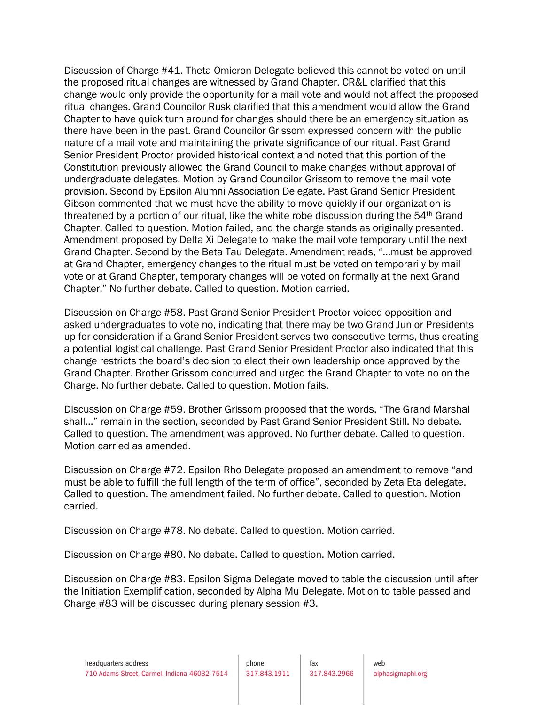Discussion of Charge #41. Theta Omicron Delegate believed this cannot be voted on until the proposed ritual changes are witnessed by Grand Chapter. CR&L clarified that this change would only provide the opportunity for a mail vote and would not affect the proposed ritual changes. Grand Councilor Rusk clarified that this amendment would allow the Grand Chapter to have quick turn around for changes should there be an emergency situation as there have been in the past. Grand Councilor Grissom expressed concern with the public nature of a mail vote and maintaining the private significance of our ritual. Past Grand Senior President Proctor provided historical context and noted that this portion of the Constitution previously allowed the Grand Council to make changes without approval of undergraduate delegates. Motion by Grand Councilor Grissom to remove the mail vote provision. Second by Epsilon Alumni Association Delegate. Past Grand Senior President Gibson commented that we must have the ability to move quickly if our organization is threatened by a portion of our ritual, like the white robe discussion during the 54<sup>th</sup> Grand Chapter. Called to question. Motion failed, and the charge stands as originally presented. Amendment proposed by Delta Xi Delegate to make the mail vote temporary until the next Grand Chapter. Second by the Beta Tau Delegate. Amendment reads, "…must be approved at Grand Chapter, emergency changes to the ritual must be voted on temporarily by mail vote or at Grand Chapter, temporary changes will be voted on formally at the next Grand Chapter." No further debate. Called to question. Motion carried.

Discussion on Charge #58. Past Grand Senior President Proctor voiced opposition and asked undergraduates to vote no, indicating that there may be two Grand Junior Presidents up for consideration if a Grand Senior President serves two consecutive terms, thus creating a potential logistical challenge. Past Grand Senior President Proctor also indicated that this change restricts the board's decision to elect their own leadership once approved by the Grand Chapter. Brother Grissom concurred and urged the Grand Chapter to vote no on the Charge. No further debate. Called to question. Motion fails.

Discussion on Charge #59. Brother Grissom proposed that the words, "The Grand Marshal shall…" remain in the section, seconded by Past Grand Senior President Still. No debate. Called to question. The amendment was approved. No further debate. Called to question. Motion carried as amended.

Discussion on Charge #72. Epsilon Rho Delegate proposed an amendment to remove "and must be able to fulfill the full length of the term of office", seconded by Zeta Eta delegate. Called to question. The amendment failed. No further debate. Called to question. Motion carried.

Discussion on Charge #78. No debate. Called to question. Motion carried.

Discussion on Charge #80. No debate. Called to question. Motion carried.

Discussion on Charge #83. Epsilon Sigma Delegate moved to table the discussion until after the Initiation Exemplification, seconded by Alpha Mu Delegate. Motion to table passed and Charge #83 will be discussed during plenary session #3.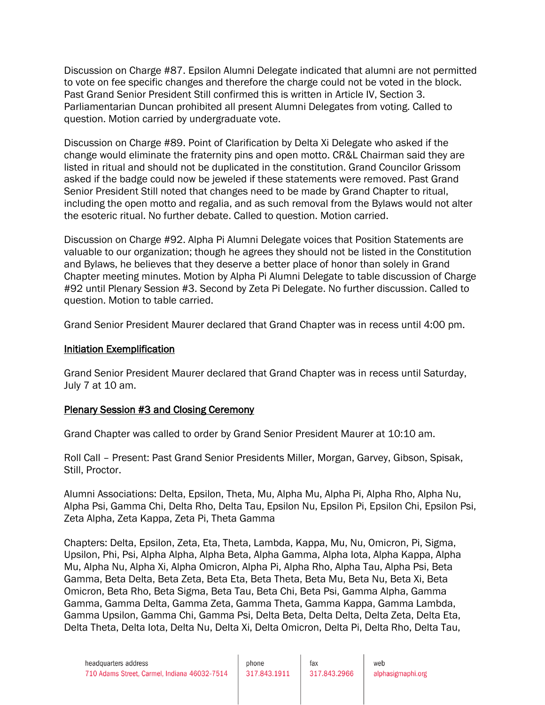Discussion on Charge #87. Epsilon Alumni Delegate indicated that alumni are not permitted to vote on fee specific changes and therefore the charge could not be voted in the block. Past Grand Senior President Still confirmed this is written in Article IV, Section 3. Parliamentarian Duncan prohibited all present Alumni Delegates from voting. Called to question. Motion carried by undergraduate vote.

Discussion on Charge #89. Point of Clarification by Delta Xi Delegate who asked if the change would eliminate the fraternity pins and open motto. CR&L Chairman said they are listed in ritual and should not be duplicated in the constitution. Grand Councilor Grissom asked if the badge could now be jeweled if these statements were removed. Past Grand Senior President Still noted that changes need to be made by Grand Chapter to ritual, including the open motto and regalia, and as such removal from the Bylaws would not alter the esoteric ritual. No further debate. Called to question. Motion carried.

Discussion on Charge #92. Alpha Pi Alumni Delegate voices that Position Statements are valuable to our organization; though he agrees they should not be listed in the Constitution and Bylaws, he believes that they deserve a better place of honor than solely in Grand Chapter meeting minutes. Motion by Alpha Pi Alumni Delegate to table discussion of Charge #92 until Plenary Session #3. Second by Zeta Pi Delegate. No further discussion. Called to question. Motion to table carried.

Grand Senior President Maurer declared that Grand Chapter was in recess until 4:00 pm.

# Initiation Exemplification

Grand Senior President Maurer declared that Grand Chapter was in recess until Saturday, July 7 at 10 am.

# Plenary Session #3 and Closing Ceremony

Grand Chapter was called to order by Grand Senior President Maurer at 10:10 am.

Roll Call – Present: Past Grand Senior Presidents Miller, Morgan, Garvey, Gibson, Spisak, Still, Proctor.

Alumni Associations: Delta, Epsilon, Theta, Mu, Alpha Mu, Alpha Pi, Alpha Rho, Alpha Nu, Alpha Psi, Gamma Chi, Delta Rho, Delta Tau, Epsilon Nu, Epsilon Pi, Epsilon Chi, Epsilon Psi, Zeta Alpha, Zeta Kappa, Zeta Pi, Theta Gamma

Chapters: Delta, Epsilon, Zeta, Eta, Theta, Lambda, Kappa, Mu, Nu, Omicron, Pi, Sigma, Upsilon, Phi, Psi, Alpha Alpha, Alpha Beta, Alpha Gamma, Alpha Iota, Alpha Kappa, Alpha Mu, Alpha Nu, Alpha Xi, Alpha Omicron, Alpha Pi, Alpha Rho, Alpha Tau, Alpha Psi, Beta Gamma, Beta Delta, Beta Zeta, Beta Eta, Beta Theta, Beta Mu, Beta Nu, Beta Xi, Beta Omicron, Beta Rho, Beta Sigma, Beta Tau, Beta Chi, Beta Psi, Gamma Alpha, Gamma Gamma, Gamma Delta, Gamma Zeta, Gamma Theta, Gamma Kappa, Gamma Lambda, Gamma Upsilon, Gamma Chi, Gamma Psi, Delta Beta, Delta Delta, Delta Zeta, Delta Eta, Delta Theta, Delta Iota, Delta Nu, Delta Xi, Delta Omicron, Delta Pi, Delta Rho, Delta Tau,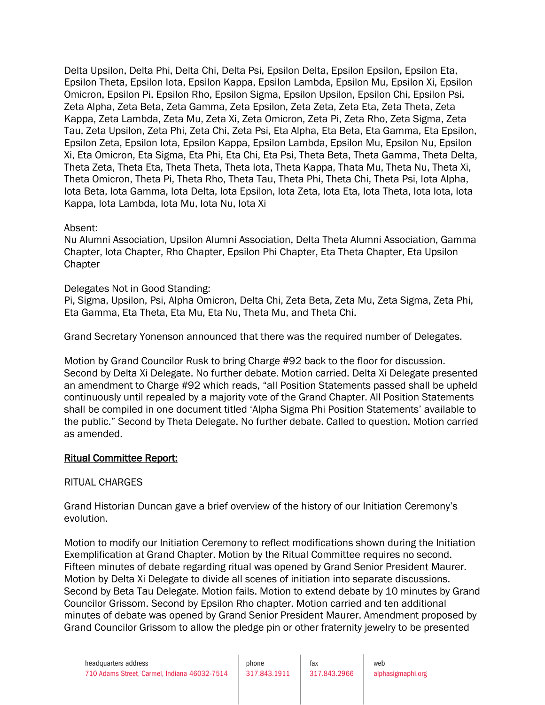Delta Upsilon, Delta Phi, Delta Chi, Delta Psi, Epsilon Delta, Epsilon Epsilon, Epsilon Eta, Epsilon Theta, Epsilon Iota, Epsilon Kappa, Epsilon Lambda, Epsilon Mu, Epsilon Xi, Epsilon Omicron, Epsilon Pi, Epsilon Rho, Epsilon Sigma, Epsilon Upsilon, Epsilon Chi, Epsilon Psi, Zeta Alpha, Zeta Beta, Zeta Gamma, Zeta Epsilon, Zeta Zeta, Zeta Eta, Zeta Theta, Zeta Kappa, Zeta Lambda, Zeta Mu, Zeta Xi, Zeta Omicron, Zeta Pi, Zeta Rho, Zeta Sigma, Zeta Tau, Zeta Upsilon, Zeta Phi, Zeta Chi, Zeta Psi, Eta Alpha, Eta Beta, Eta Gamma, Eta Epsilon, Epsilon Zeta, Epsilon Iota, Epsilon Kappa, Epsilon Lambda, Epsilon Mu, Epsilon Nu, Epsilon Xi, Eta Omicron, Eta Sigma, Eta Phi, Eta Chi, Eta Psi, Theta Beta, Theta Gamma, Theta Delta, Theta Zeta, Theta Eta, Theta Theta, Theta Iota, Theta Kappa, Thata Mu, Theta Nu, Theta Xi, Theta Omicron, Theta Pi, Theta Rho, Theta Tau, Theta Phi, Theta Chi, Theta Psi, Iota Alpha, Iota Beta, Iota Gamma, Iota Delta, Iota Epsilon, Iota Zeta, Iota Eta, Iota Theta, Iota Iota, Iota Kappa, Iota Lambda, Iota Mu, Iota Nu, Iota Xi

## Absent:

Nu Alumni Association, Upsilon Alumni Association, Delta Theta Alumni Association, Gamma Chapter, Iota Chapter, Rho Chapter, Epsilon Phi Chapter, Eta Theta Chapter, Eta Upsilon **Chapter** 

# Delegates Not in Good Standing:

Pi, Sigma, Upsilon, Psi, Alpha Omicron, Delta Chi, Zeta Beta, Zeta Mu, Zeta Sigma, Zeta Phi, Eta Gamma, Eta Theta, Eta Mu, Eta Nu, Theta Mu, and Theta Chi.

Grand Secretary Yonenson announced that there was the required number of Delegates.

Motion by Grand Councilor Rusk to bring Charge #92 back to the floor for discussion. Second by Delta Xi Delegate. No further debate. Motion carried. Delta Xi Delegate presented an amendment to Charge #92 which reads, "all Position Statements passed shall be upheld continuously until repealed by a majority vote of the Grand Chapter. All Position Statements shall be compiled in one document titled 'Alpha Sigma Phi Position Statements' available to the public." Second by Theta Delegate. No further debate. Called to question. Motion carried as amended.

# Ritual Committee Report:

### RITUAL CHARGES

Grand Historian Duncan gave a brief overview of the history of our Initiation Ceremony's evolution.

Motion to modify our Initiation Ceremony to reflect modifications shown during the Initiation Exemplification at Grand Chapter. Motion by the Ritual Committee requires no second. Fifteen minutes of debate regarding ritual was opened by Grand Senior President Maurer. Motion by Delta Xi Delegate to divide all scenes of initiation into separate discussions. Second by Beta Tau Delegate. Motion fails. Motion to extend debate by 10 minutes by Grand Councilor Grissom. Second by Epsilon Rho chapter. Motion carried and ten additional minutes of debate was opened by Grand Senior President Maurer. Amendment proposed by Grand Councilor Grissom to allow the pledge pin or other fraternity jewelry to be presented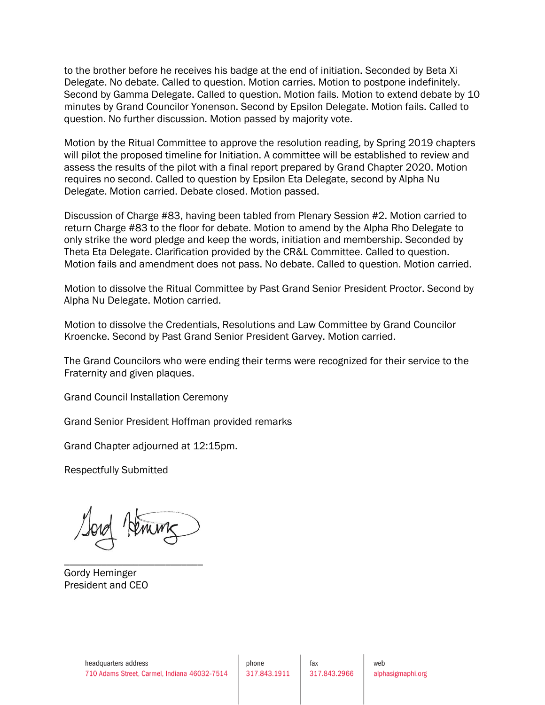to the brother before he receives his badge at the end of initiation. Seconded by Beta Xi Delegate. No debate. Called to question. Motion carries. Motion to postpone indefinitely. Second by Gamma Delegate. Called to question. Motion fails. Motion to extend debate by 10 minutes by Grand Councilor Yonenson. Second by Epsilon Delegate. Motion fails. Called to question. No further discussion. Motion passed by majority vote.

Motion by the Ritual Committee to approve the resolution reading, by Spring 2019 chapters will pilot the proposed timeline for Initiation. A committee will be established to review and assess the results of the pilot with a final report prepared by Grand Chapter 2020. Motion requires no second. Called to question by Epsilon Eta Delegate, second by Alpha Nu Delegate. Motion carried. Debate closed. Motion passed.

Discussion of Charge #83, having been tabled from Plenary Session #2. Motion carried to return Charge #83 to the floor for debate. Motion to amend by the Alpha Rho Delegate to only strike the word pledge and keep the words, initiation and membership. Seconded by Theta Eta Delegate. Clarification provided by the CR&L Committee. Called to question. Motion fails and amendment does not pass. No debate. Called to question. Motion carried.

Motion to dissolve the Ritual Committee by Past Grand Senior President Proctor. Second by Alpha Nu Delegate. Motion carried.

Motion to dissolve the Credentials, Resolutions and Law Committee by Grand Councilor Kroencke. Second by Past Grand Senior President Garvey. Motion carried.

The Grand Councilors who were ending their terms were recognized for their service to the Fraternity and given plaques.

Grand Council Installation Ceremony

Grand Senior President Hoffman provided remarks

Grand Chapter adjourned at 12:15pm.

Respectfully Submitted

\_\_\_\_\_\_\_\_\_\_\_\_\_\_\_\_\_\_\_\_\_\_\_\_\_\_

Gordy Heminger President and CEO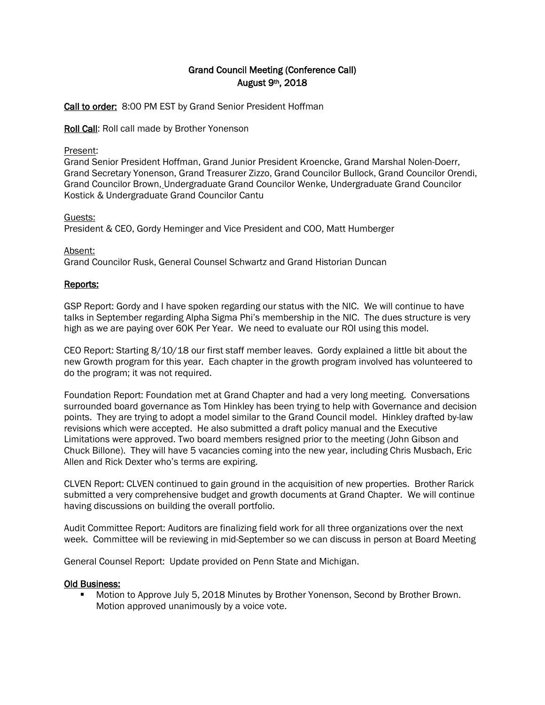# Grand Council Meeting (Conference Call) August 9th, 2018

Call to order: 8:00 PM EST by Grand Senior President Hoffman

Roll Call: Roll call made by Brother Yonenson

### Present:

Grand Senior President Hoffman, Grand Junior President Kroencke, Grand Marshal Nolen-Doerr, Grand Secretary Yonenson, Grand Treasurer Zizzo, Grand Councilor Bullock, Grand Councilor Orendi, Grand Councilor Brown, Undergraduate Grand Councilor Wenke, Undergraduate Grand Councilor Kostick & Undergraduate Grand Councilor Cantu

## Guests:

President & CEO, Gordy Heminger and Vice President and COO, Matt Humberger

## Absent:

Grand Councilor Rusk, General Counsel Schwartz and Grand Historian Duncan

# Reports:

GSP Report: Gordy and I have spoken regarding our status with the NIC. We will continue to have talks in September regarding Alpha Sigma Phi's membership in the NIC. The dues structure is very high as we are paying over 60K Per Year. We need to evaluate our ROI using this model.

CEO Report: Starting 8/10/18 our first staff member leaves. Gordy explained a little bit about the new Growth program for this year. Each chapter in the growth program involved has volunteered to do the program; it was not required.

Foundation Report: Foundation met at Grand Chapter and had a very long meeting. Conversations surrounded board governance as Tom Hinkley has been trying to help with Governance and decision points. They are trying to adopt a model similar to the Grand Council model. Hinkley drafted by-law revisions which were accepted. He also submitted a draft policy manual and the Executive Limitations were approved. Two board members resigned prior to the meeting (John Gibson and Chuck Billone). They will have 5 vacancies coming into the new year, including Chris Musbach, Eric Allen and Rick Dexter who's terms are expiring.

CLVEN Report: CLVEN continued to gain ground in the acquisition of new properties. Brother Rarick submitted a very comprehensive budget and growth documents at Grand Chapter. We will continue having discussions on building the overall portfolio.

Audit Committee Report: Auditors are finalizing field work for all three organizations over the next week. Committee will be reviewing in mid-September so we can discuss in person at Board Meeting

General Counsel Report: Update provided on Penn State and Michigan.

# Old Business:

**Motion to Approve July 5, 2018 Minutes by Brother Yonenson, Second by Brother Brown.** Motion approved unanimously by a voice vote.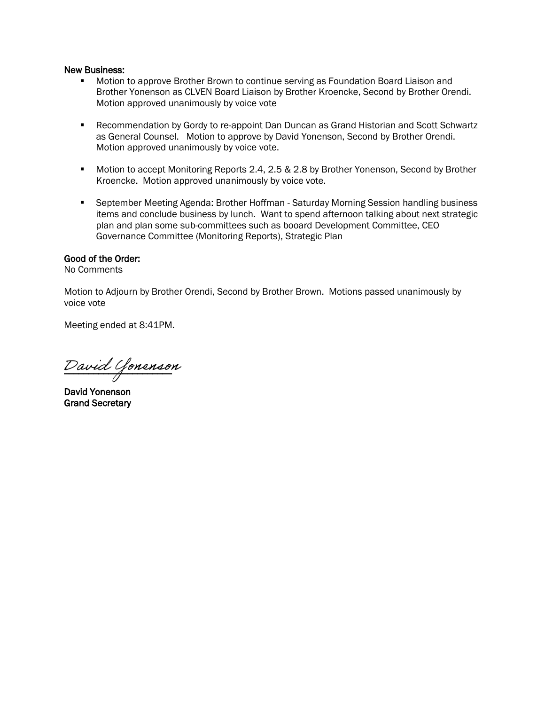#### New Business:

- Motion to approve Brother Brown to continue serving as Foundation Board Liaison and Brother Yonenson as CLVEN Board Liaison by Brother Kroencke, Second by Brother Orendi. Motion approved unanimously by voice vote
- **Recommendation by Gordy to re-appoint Dan Duncan as Grand Historian and Scott Schwartz** as General Counsel. Motion to approve by David Yonenson, Second by Brother Orendi. Motion approved unanimously by voice vote.
- **Motion to accept Monitoring Reports 2.4, 2.5 & 2.8 by Brother Yonenson, Second by Brother** Kroencke. Motion approved unanimously by voice vote.
- September Meeting Agenda: Brother Hoffman Saturday Morning Session handling business items and conclude business by lunch. Want to spend afternoon talking about next strategic plan and plan some sub-committees such as booard Development Committee, CEO Governance Committee (Monitoring Reports), Strategic Plan

### Good of the Order:

No Comments

Motion to Adjourn by Brother Orendi, Second by Brother Brown. Motions passed unanimously by voice vote

Meeting ended at 8:41PM.

 $\nu$ avia Gonenson David Yonenson

David Yonenson Grand Secretary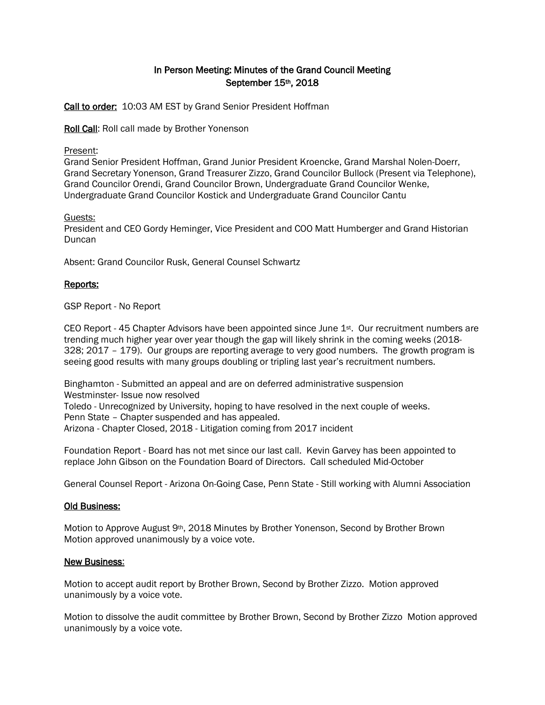# In Person Meeting: Minutes of the Grand Council Meeting September 15th, 2018

Call to order: 10:03 AM EST by Grand Senior President Hoffman

Roll Call: Roll call made by Brother Yonenson

#### Present:

Grand Senior President Hoffman, Grand Junior President Kroencke, Grand Marshal Nolen-Doerr, Grand Secretary Yonenson, Grand Treasurer Zizzo, Grand Councilor Bullock (Present via Telephone), Grand Councilor Orendi, Grand Councilor Brown, Undergraduate Grand Councilor Wenke, Undergraduate Grand Councilor Kostick and Undergraduate Grand Councilor Cantu

#### Guests:

President and CEO Gordy Heminger, Vice President and COO Matt Humberger and Grand Historian Duncan

Absent: Grand Councilor Rusk, General Counsel Schwartz

### Reports:

GSP Report - No Report

CEO Report - 45 Chapter Advisors have been appointed since June  $1<sup>st</sup>$ . Our recruitment numbers are trending much higher year over year though the gap will likely shrink in the coming weeks (2018- 328; 2017 – 179). Our groups are reporting average to very good numbers. The growth program is seeing good results with many groups doubling or tripling last year's recruitment numbers.

Binghamton - Submitted an appeal and are on deferred administrative suspension Westminster- Issue now resolved Toledo - Unrecognized by University, hoping to have resolved in the next couple of weeks. Penn State – Chapter suspended and has appealed. Arizona - Chapter Closed, 2018 - Litigation coming from 2017 incident

Foundation Report - Board has not met since our last call. Kevin Garvey has been appointed to replace John Gibson on the Foundation Board of Directors. Call scheduled Mid-October

General Counsel Report - Arizona On-Going Case, Penn State - Still working with Alumni Association

#### Old Business:

Motion to Approve August 9<sup>th</sup>, 2018 Minutes by Brother Yonenson, Second by Brother Brown Motion approved unanimously by a voice vote.

#### New Business:

Motion to accept audit report by Brother Brown, Second by Brother Zizzo. Motion approved unanimously by a voice vote.

Motion to dissolve the audit committee by Brother Brown, Second by Brother Zizzo Motion approved unanimously by a voice vote.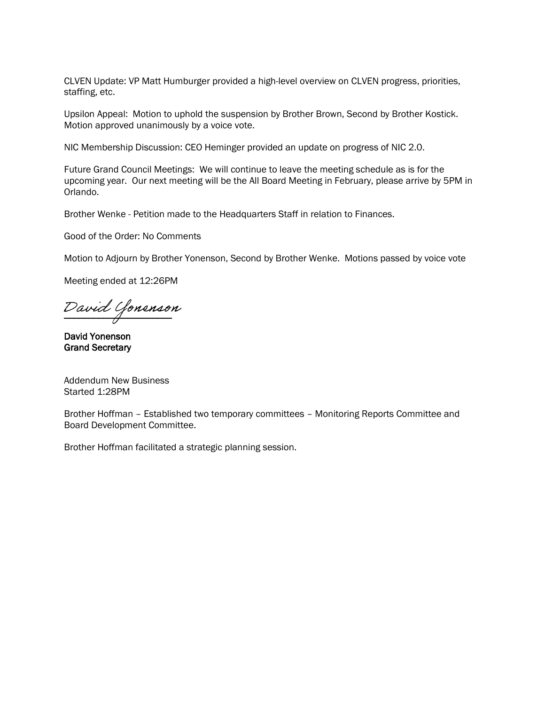CLVEN Update: VP Matt Humburger provided a high-level overview on CLVEN progress, priorities, staffing, etc.

Upsilon Appeal: Motion to uphold the suspension by Brother Brown, Second by Brother Kostick. Motion approved unanimously by a voice vote.

NIC Membership Discussion: CEO Heminger provided an update on progress of NIC 2.0.

Future Grand Council Meetings: We will continue to leave the meeting schedule as is for the upcoming year. Our next meeting will be the All Board Meeting in February, please arrive by 5PM in Orlando.

Brother Wenke - Petition made to the Headquarters Staff in relation to Finances.

Good of the Order: No Comments

Motion to Adjourn by Brother Yonenson, Second by Brother Wenke. Motions passed by voice vote

Meeting ended at 12:26PM

\_\_\_\_\_\_\_\_\_\_\_\_\_\_\_\_\_\_\_\_\_\_ David Yonenson

David Yonenson Grand Secretary

Addendum New Business Started 1:28PM

Brother Hoffman – Established two temporary committees – Monitoring Reports Committee and Board Development Committee.

Brother Hoffman facilitated a strategic planning session.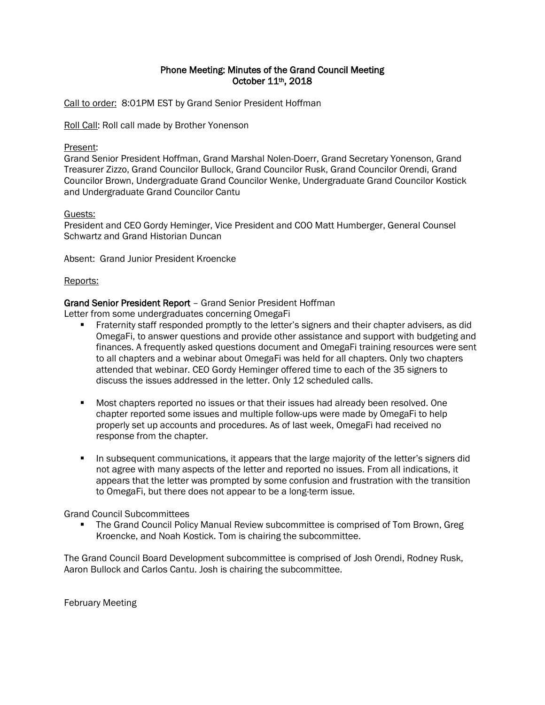# Phone Meeting: Minutes of the Grand Council Meeting October 11th, 2018

Call to order: 8:01PM EST by Grand Senior President Hoffman

Roll Call: Roll call made by Brother Yonenson

### Present:

Grand Senior President Hoffman, Grand Marshal Nolen-Doerr, Grand Secretary Yonenson, Grand Treasurer Zizzo, Grand Councilor Bullock, Grand Councilor Rusk, Grand Councilor Orendi, Grand Councilor Brown, Undergraduate Grand Councilor Wenke, Undergraduate Grand Councilor Kostick and Undergraduate Grand Councilor Cantu

### Guests:

President and CEO Gordy Heminger, Vice President and COO Matt Humberger, General Counsel Schwartz and Grand Historian Duncan

Absent: Grand Junior President Kroencke

### Reports:

# Grand Senior President Report – Grand Senior President Hoffman

Letter from some undergraduates concerning OmegaFi

- Fraternity staff responded promptly to the letter's signers and their chapter advisers, as did OmegaFi, to answer questions and provide other assistance and support with budgeting and finances. A frequently asked questions document and OmegaFi training resources were sent to all chapters and a webinar about OmegaFi was held for all chapters. Only two chapters attended that webinar. CEO Gordy Heminger offered time to each of the 35 signers to discuss the issues addressed in the letter. Only 12 scheduled calls.
- Most chapters reported no issues or that their issues had already been resolved. One chapter reported some issues and multiple follow-ups were made by OmegaFi to help properly set up accounts and procedures. As of last week, OmegaFi had received no response from the chapter.
- In subsequent communications, it appears that the large majority of the letter's signers did not agree with many aspects of the letter and reported no issues. From all indications, it appears that the letter was prompted by some confusion and frustration with the transition to OmegaFi, but there does not appear to be a long-term issue.

### Grand Council Subcommittees

 The Grand Council Policy Manual Review subcommittee is comprised of Tom Brown, Greg Kroencke, and Noah Kostick. Tom is chairing the subcommittee.

The Grand Council Board Development subcommittee is comprised of Josh Orendi, Rodney Rusk, Aaron Bullock and Carlos Cantu. Josh is chairing the subcommittee.

February Meeting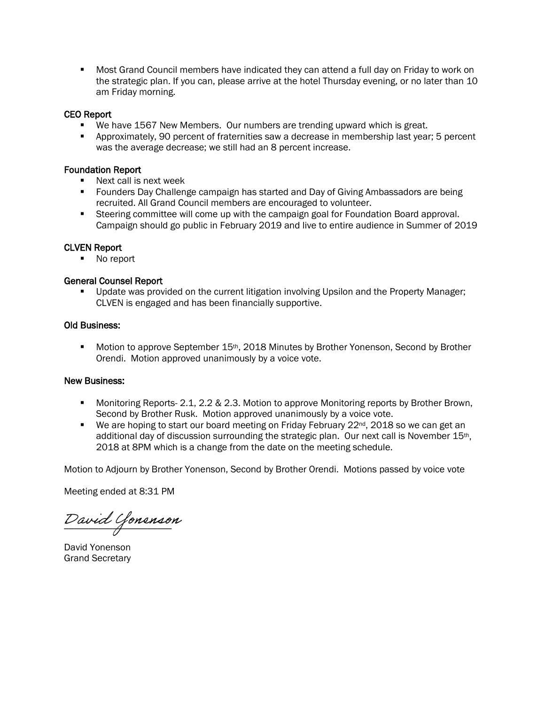Most Grand Council members have indicated they can attend a full day on Friday to work on the strategic plan. If you can, please arrive at the hotel Thursday evening, or no later than 10 am Friday morning.

#### CEO Report

- We have 1567 New Members. Our numbers are trending upward which is great.
- Approximately, 90 percent of fraternities saw a decrease in membership last year; 5 percent was the average decrease; we still had an 8 percent increase.

#### Foundation Report

- Next call is next week
- **F** Founders Day Challenge campaign has started and Day of Giving Ambassadors are being recruited. All Grand Council members are encouraged to volunteer.
- Steering committee will come up with the campaign goal for Foundation Board approval. Campaign should go public in February 2019 and live to entire audience in Summer of 2019

#### CLVEN Report

• No report

#### General Counsel Report

**Update was provided on the current litigation involving Upsilon and the Property Manager;** CLVEN is engaged and has been financially supportive.

#### Old Business:

**Motion to approve September 15th, 2018 Minutes by Brother Yonenson, Second by Brother** Orendi. Motion approved unanimously by a voice vote.

# New Business:

- **Monitoring Reports- 2.1, 2.2 & 2.3. Motion to approve Monitoring reports by Brother Brown,** Second by Brother Rusk. Motion approved unanimously by a voice vote.
- **We are hoping to start our board meeting on Friday February 22** $nd$ **, 2018 so we can get an** additional day of discussion surrounding the strategic plan. Our next call is November 15th, 2018 at 8PM which is a change from the date on the meeting schedule.

Motion to Adjourn by Brother Yonenson, Second by Brother Orendi. Motions passed by voice vote

Meeting ended at 8:31 PM

\_\_\_\_\_\_\_\_\_\_\_\_\_\_\_\_\_\_\_\_\_\_ David Yonenson

David Yonenson Grand Secretary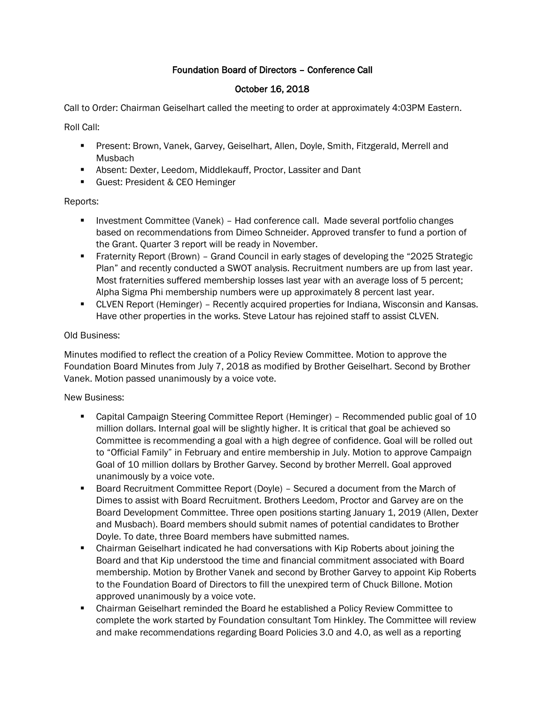# Foundation Board of Directors – Conference Call

# October 16, 2018

Call to Order: Chairman Geiselhart called the meeting to order at approximately 4:03PM Eastern.

Roll Call:

- Present: Brown, Vanek, Garvey, Geiselhart, Allen, Doyle, Smith, Fitzgerald, Merrell and Musbach
- Absent: Dexter, Leedom, Middlekauff, Proctor, Lassiter and Dant
- **E** Guest: President & CEO Heminger

Reports:

- Investment Committee (Vanek) Had conference call. Made several portfolio changes based on recommendations from Dimeo Schneider. Approved transfer to fund a portion of the Grant. Quarter 3 report will be ready in November.
- Fraternity Report (Brown) Grand Council in early stages of developing the "2025 Strategic Plan" and recently conducted a SWOT analysis. Recruitment numbers are up from last year. Most fraternities suffered membership losses last year with an average loss of 5 percent; Alpha Sigma Phi membership numbers were up approximately 8 percent last year.
- **CLVEN Report (Heminger) Recently acquired properties for Indiana, Wisconsin and Kansas.** Have other properties in the works. Steve Latour has rejoined staff to assist CLVEN.

# Old Business:

Minutes modified to reflect the creation of a Policy Review Committee. Motion to approve the Foundation Board Minutes from July 7, 2018 as modified by Brother Geiselhart. Second by Brother Vanek. Motion passed unanimously by a voice vote.

# New Business:

- Capital Campaign Steering Committee Report (Heminger) Recommended public goal of 10 million dollars. Internal goal will be slightly higher. It is critical that goal be achieved so Committee is recommending a goal with a high degree of confidence. Goal will be rolled out to "Official Family" in February and entire membership in July. Motion to approve Campaign Goal of 10 million dollars by Brother Garvey. Second by brother Merrell. Goal approved unanimously by a voice vote.
- Board Recruitment Committee Report (Doyle) Secured a document from the March of Dimes to assist with Board Recruitment. Brothers Leedom, Proctor and Garvey are on the Board Development Committee. Three open positions starting January 1, 2019 (Allen, Dexter and Musbach). Board members should submit names of potential candidates to Brother Doyle. To date, three Board members have submitted names.
- Chairman Geiselhart indicated he had conversations with Kip Roberts about joining the Board and that Kip understood the time and financial commitment associated with Board membership. Motion by Brother Vanek and second by Brother Garvey to appoint Kip Roberts to the Foundation Board of Directors to fill the unexpired term of Chuck Billone. Motion approved unanimously by a voice vote.
- Chairman Geiselhart reminded the Board he established a Policy Review Committee to complete the work started by Foundation consultant Tom Hinkley. The Committee will review and make recommendations regarding Board Policies 3.0 and 4.0, as well as a reporting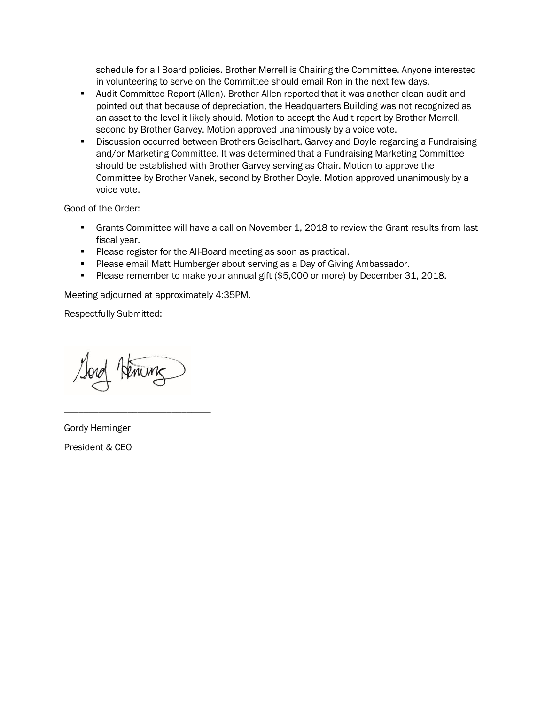schedule for all Board policies. Brother Merrell is Chairing the Committee. Anyone interested in volunteering to serve on the Committee should email Ron in the next few days.

- Audit Committee Report (Allen). Brother Allen reported that it was another clean audit and pointed out that because of depreciation, the Headquarters Building was not recognized as an asset to the level it likely should. Motion to accept the Audit report by Brother Merrell, second by Brother Garvey. Motion approved unanimously by a voice vote.
- **E** Discussion occurred between Brothers Geiselhart, Garvey and Doyle regarding a Fundraising and/or Marketing Committee. It was determined that a Fundraising Marketing Committee should be established with Brother Garvey serving as Chair. Motion to approve the Committee by Brother Vanek, second by Brother Doyle. Motion approved unanimously by a voice vote.

Good of the Order:

- **Grants Committee will have a call on November 1, 2018 to review the Grant results from last** fiscal year.
- Please register for the All-Board meeting as soon as practical.
- Please email Matt Humberger about serving as a Day of Giving Ambassador.
- Please remember to make your annual gift (\$5,000 or more) by December 31, 2018.

Meeting adjourned at approximately 4:35PM.

Respectfully Submitted:

Remine

\_\_\_\_\_\_\_\_\_\_\_\_\_\_\_\_\_\_\_\_\_\_\_\_\_\_\_\_\_\_

Gordy Heminger President & CEO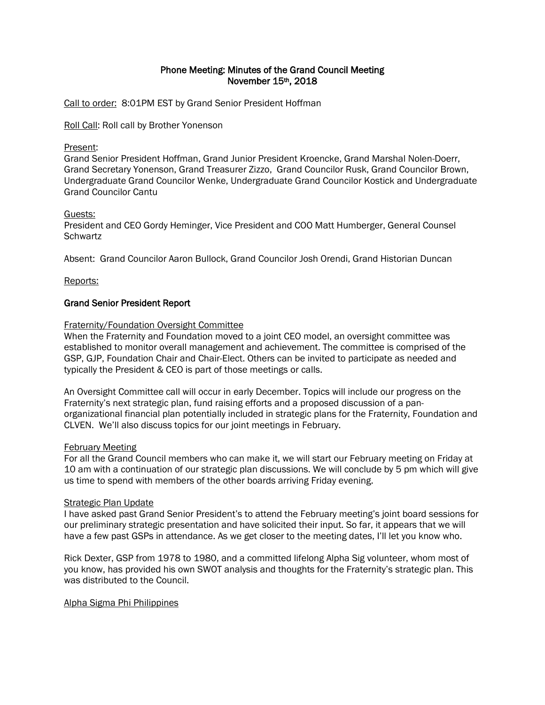## Phone Meeting: Minutes of the Grand Council Meeting November 15th, 2018

Call to order: 8:01PM EST by Grand Senior President Hoffman

Roll Call: Roll call by Brother Yonenson

## Present:

Grand Senior President Hoffman, Grand Junior President Kroencke, Grand Marshal Nolen-Doerr, Grand Secretary Yonenson, Grand Treasurer Zizzo, Grand Councilor Rusk, Grand Councilor Brown, Undergraduate Grand Councilor Wenke, Undergraduate Grand Councilor Kostick and Undergraduate Grand Councilor Cantu

## Guests:

President and CEO Gordy Heminger, Vice President and COO Matt Humberger, General Counsel **Schwartz** 

Absent: Grand Councilor Aaron Bullock, Grand Councilor Josh Orendi, Grand Historian Duncan

## Reports:

## Grand Senior President Report

## Fraternity/Foundation Oversight Committee

When the Fraternity and Foundation moved to a joint CEO model, an oversight committee was established to monitor overall management and achievement. The committee is comprised of the GSP, GJP, Foundation Chair and Chair-Elect. Others can be invited to participate as needed and typically the President & CEO is part of those meetings or calls.

An Oversight Committee call will occur in early December. Topics will include our progress on the Fraternity's next strategic plan, fund raising efforts and a proposed discussion of a panorganizational financial plan potentially included in strategic plans for the Fraternity, Foundation and CLVEN. We'll also discuss topics for our joint meetings in February.

### February Meeting

For all the Grand Council members who can make it, we will start our February meeting on Friday at 10 am with a continuation of our strategic plan discussions. We will conclude by 5 pm which will give us time to spend with members of the other boards arriving Friday evening.

### Strategic Plan Update

I have asked past Grand Senior President's to attend the February meeting's joint board sessions for our preliminary strategic presentation and have solicited their input. So far, it appears that we will have a few past GSPs in attendance. As we get closer to the meeting dates, I'll let you know who.

Rick Dexter, GSP from 1978 to 1980, and a committed lifelong Alpha Sig volunteer, whom most of you know, has provided his own SWOT analysis and thoughts for the Fraternity's strategic plan. This was distributed to the Council.

### Alpha Sigma Phi Philippines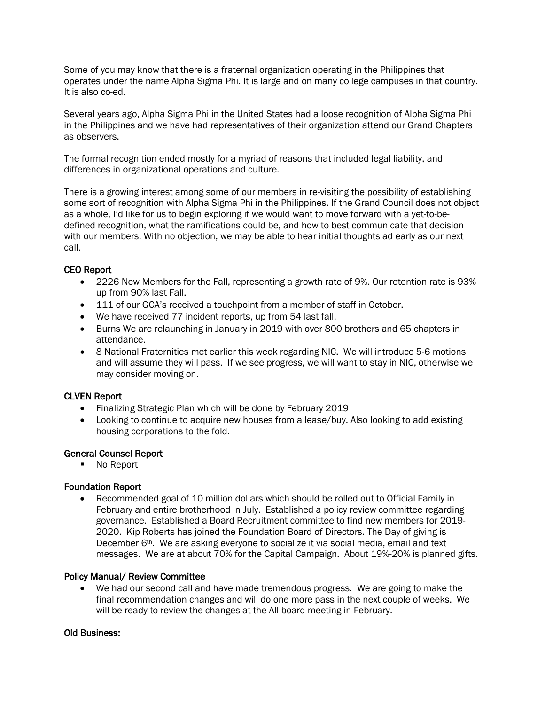Some of you may know that there is a fraternal organization operating in the Philippines that operates under the name Alpha Sigma Phi. It is large and on many college campuses in that country. It is also co-ed.

Several years ago, Alpha Sigma Phi in the United States had a loose recognition of Alpha Sigma Phi in the Philippines and we have had representatives of their organization attend our Grand Chapters as observers.

The formal recognition ended mostly for a myriad of reasons that included legal liability, and differences in organizational operations and culture.

There is a growing interest among some of our members in re-visiting the possibility of establishing some sort of recognition with Alpha Sigma Phi in the Philippines. If the Grand Council does not object as a whole, I'd like for us to begin exploring if we would want to move forward with a yet-to-bedefined recognition, what the ramifications could be, and how to best communicate that decision with our members. With no objection, we may be able to hear initial thoughts ad early as our next call.

## CEO Report

- 2226 New Members for the Fall, representing a growth rate of 9%. Our retention rate is 93% up from 90% last Fall.
- 111 of our GCA's received a touchpoint from a member of staff in October.
- We have received 77 incident reports, up from 54 last fall.
- Burns We are relaunching in January in 2019 with over 800 brothers and 65 chapters in attendance.
- 8 National Fraternities met earlier this week regarding NIC. We will introduce 5-6 motions and will assume they will pass. If we see progress, we will want to stay in NIC, otherwise we may consider moving on.

### CLVEN Report

- Finalizing Strategic Plan which will be done by February 2019
- Looking to continue to acquire new houses from a lease/buy. Also looking to add existing housing corporations to the fold.

### General Counsel Report

■ No Report

### Foundation Report

• Recommended goal of 10 million dollars which should be rolled out to Official Family in February and entire brotherhood in July. Established a policy review committee regarding governance. Established a Board Recruitment committee to find new members for 2019- 2020. Kip Roberts has joined the Foundation Board of Directors. The Day of giving is December 6th. We are asking everyone to socialize it via social media, email and text messages. We are at about 70% for the Capital Campaign. About 19%-20% is planned gifts.

### Policy Manual/ Review Committee

• We had our second call and have made tremendous progress. We are going to make the final recommendation changes and will do one more pass in the next couple of weeks. We will be ready to review the changes at the All board meeting in February.

### Old Business: